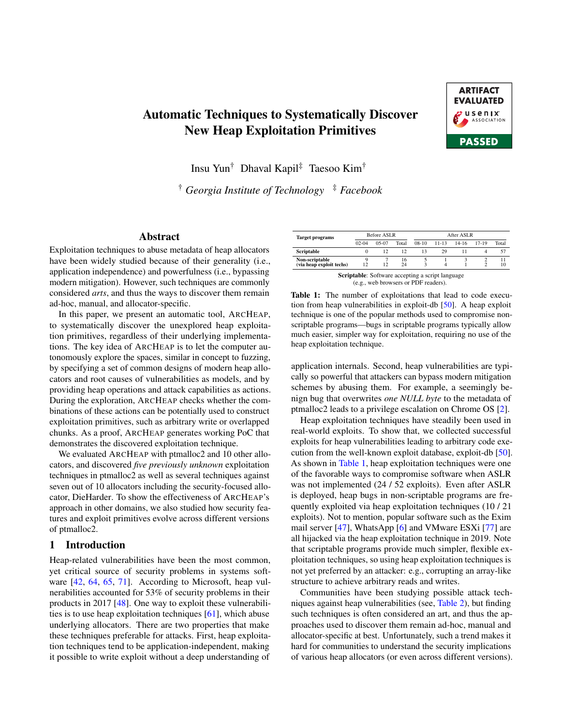# Automatic Techniques to Systematically Discover New Heap Exploitation Primitives



Insu Yun† Dhaval Kapil‡ Taesoo Kim†

† *Georgia Institute of Technology* ‡ *Facebook*

#### Abstract

Exploitation techniques to abuse metadata of heap allocators have been widely studied because of their generality (i.e., application independence) and powerfulness (i.e., bypassing modern mitigation). However, such techniques are commonly considered *arts*, and thus the ways to discover them remain ad-hoc, manual, and allocator-specific.

In this paper, we present an automatic tool, ARCHEAP, to systematically discover the unexplored heap exploitation primitives, regardless of their underlying implementations. The key idea of ARCHEAP is to let the computer autonomously explore the spaces, similar in concept to fuzzing, by specifying a set of common designs of modern heap allocators and root causes of vulnerabilities as models, and by providing heap operations and attack capabilities as actions. During the exploration, ARCHEAP checks whether the combinations of these actions can be potentially used to construct exploitation primitives, such as arbitrary write or overlapped chunks. As a proof, ARCHEAP generates working PoC that demonstrates the discovered exploitation technique.

We evaluated ARCHEAP with ptmalloc2 and 10 other allocators, and discovered *five previously unknown* exploitation techniques in ptmalloc2 as well as several techniques against seven out of 10 allocators including the security-focused allocator, DieHarder. To show the effectiveness of ARCHEAP's approach in other domains, we also studied how security features and exploit primitives evolve across different versions of ptmalloc2.

## 1 Introduction

Heap-related vulnerabilities have been the most common, yet critical source of security problems in systems software [\[42,](#page-14-0) [64,](#page-15-0) [65,](#page-15-1) [71\]](#page-15-2). According to Microsoft, heap vulnerabilities accounted for 53% of security problems in their products in 2017 [\[48\]](#page-15-3). One way to exploit these vulnerabilities is to use heap exploitation techniques [\[61\]](#page-15-4), which abuse underlying allocators. There are two properties that make these techniques preferable for attacks. First, heap exploitation techniques tend to be application-independent, making it possible to write exploit without a deep understanding of

<span id="page-0-0"></span>

| <b>Target programs</b>                                  |                      | Before ASLR |          | After ASLR |           |         |           |       |  |  |  |  |  |
|---------------------------------------------------------|----------------------|-------------|----------|------------|-----------|---------|-----------|-------|--|--|--|--|--|
|                                                         | $02 - 04$<br>$05-07$ |             | Total    | $08-10$    | $11 - 13$ | $14-16$ | $17 - 19$ | Total |  |  |  |  |  |
| Scriptable                                              |                      | 12          | 12       | 13         | 29        |         |           | 57    |  |  |  |  |  |
| Non-scriptable<br>(via heap exploit techs)              | 12                   | 12          | 16<br>24 |            |           |         |           | 10    |  |  |  |  |  |
| <b>Scriptable:</b> Software accepting a script language |                      |             |          |            |           |         |           |       |  |  |  |  |  |

(e.g., web browsers or PDF readers).

Table 1: The number of exploitations that lead to code execution from heap vulnerabilities in exploit-db [\[50\]](#page-15-5). A heap exploit technique is one of the popular methods used to compromise nonscriptable programs—bugs in scriptable programs typically allow much easier, simpler way for exploitation, requiring no use of the heap exploitation technique.

application internals. Second, heap vulnerabilities are typically so powerful that attackers can bypass modern mitigation schemes by abusing them. For example, a seemingly benign bug that overwrites *one NULL byte* to the metadata of ptmalloc2 leads to a privilege escalation on Chrome OS [\[2\]](#page-14-1).

Heap exploitation techniques have steadily been used in real-world exploits. To show that, we collected successful exploits for heap vulnerabilities leading to arbitrary code execution from the well-known exploit database, exploit-db [\[50\]](#page-15-5). As shown in [Table 1,](#page-0-0) heap exploitation techniques were one of the favorable ways to compromise software when ASLR was not implemented (24 / 52 exploits). Even after ASLR is deployed, heap bugs in non-scriptable programs are frequently exploited via heap exploitation techniques (10 / 21 exploits). Not to mention, popular software such as the Exim mail server [\[47\]](#page-15-6), WhatsApp [\[6\]](#page-14-2) and VMware ESXi [\[77\]](#page-15-7) are all hijacked via the heap exploitation technique in 2019. Note that scriptable programs provide much simpler, flexible exploitation techniques, so using heap exploitation techniques is not yet preferred by an attacker: e.g., corrupting an array-like structure to achieve arbitrary reads and writes.

Communities have been studying possible attack techniques against heap vulnerabilities (see, [Table 2\)](#page-1-0), but finding such techniques is often considered an art, and thus the approaches used to discover them remain ad-hoc, manual and allocator-specific at best. Unfortunately, such a trend makes it hard for communities to understand the security implications of various heap allocators (or even across different versions).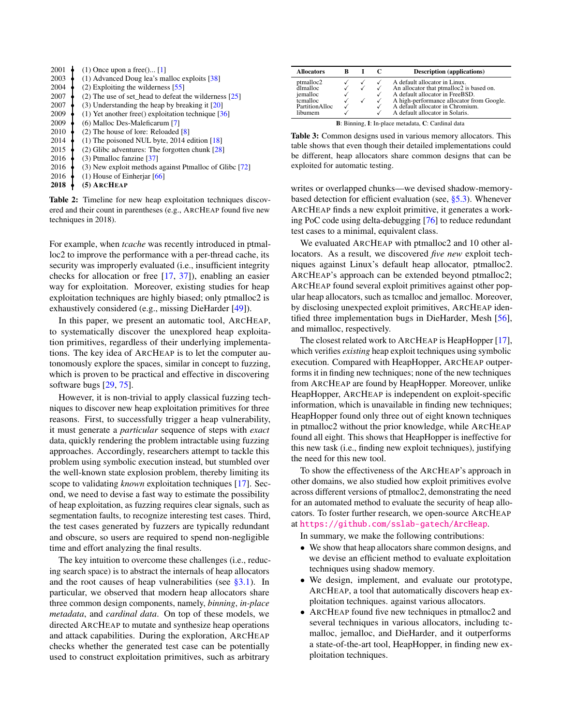<span id="page-1-0"></span>

| 2001 | $(1)$ Once upon a free $($ … [1]                           |
|------|------------------------------------------------------------|
| 2003 | (1) Advanced Doug lea's malloc exploits $[38]$             |
| 2004 | $(2)$ Exploiting the wilderness [55]                       |
| 2007 | $(2)$ The use of set_head to defeat the wilderness [25]    |
| 2007 | (3) Understanding the heap by breaking it $[20]$           |
| 2009 | $(1)$ Yet another free $()$ exploitation technique [36]    |
| 2009 | (6) Malloc Des-Maleficarum [7]                             |
| 2010 | $(2)$ The house of lore: Reloaded $[8]$                    |
| 2014 | $(1)$ The poisoned NUL byte, 2014 edition [18]             |
| 2015 | $(2)$ Glibc adventures: The forgotten chunk [28]           |
| 2016 | $(3)$ Ptmalloc fanzine [ $37$ ]                            |
| 2016 | $(3)$ New exploit methods against Ptmalloc of Glibc $[72]$ |
| 2016 | $(1)$ House of Einheriar [66]                              |
| 2018 | (5) ARCHEAP                                                |

Table 2: Timeline for new heap exploitation techniques discovered and their count in parentheses (e.g., ARCHEAP found five new techniques in 2018).

For example, when *tcache* was recently introduced in ptmalloc2 to improve the performance with a per-thread cache, its security was improperly evaluated (i.e., insufficient integrity checks for allocation or free [\[17,](#page-14-13) [37\]](#page-14-12)), enabling an easier way for exploitation. Moreover, existing studies for heap exploitation techniques are highly biased; only ptmalloc2 is exhaustively considered (e.g., missing DieHarder [\[49\]](#page-15-11)).

In this paper, we present an automatic tool, ARCHEAP, to systematically discover the unexplored heap exploitation primitives, regardless of their underlying implementations. The key idea of ARCHEAP is to let the computer autonomously explore the spaces, similar in concept to fuzzing, which is proven to be practical and effective in discovering software bugs [\[29,](#page-14-14) [75\]](#page-15-12).

However, it is non-trivial to apply classical fuzzing techniques to discover new heap exploitation primitives for three reasons. First, to successfully trigger a heap vulnerability, it must generate a *particular* sequence of steps with *exact* data, quickly rendering the problem intractable using fuzzing approaches. Accordingly, researchers attempt to tackle this problem using symbolic execution instead, but stumbled over the well-known state explosion problem, thereby limiting its scope to validating *known* exploitation techniques [\[17\]](#page-14-13). Second, we need to devise a fast way to estimate the possibility of heap exploitation, as fuzzing requires clear signals, such as segmentation faults, to recognize interesting test cases. Third, the test cases generated by fuzzers are typically redundant and obscure, so users are required to spend non-negligible time and effort analyzing the final results.

The key intuition to overcome these challenges (i.e., reducing search space) is to abstract the internals of heap allocators and the root causes of heap vulnerabilities (see  $\S 3.1$ ). In particular, we observed that modern heap allocators share three common design components, namely, *binning*, *in-place metadata*, and *cardinal data*. On top of these models, we directed ARCHEAP to mutate and synthesize heap operations and attack capabilities. During the exploration, ARCHEAP checks whether the generated test case can be potentially used to construct exploitation primitives, such as arbitrary

<span id="page-1-1"></span>

| <b>Allocators</b>                                                          | ĸ |  | C | <b>Description</b> (applications)                                                                                                                                                                                                |  |  |  |  |  |  |  |
|----------------------------------------------------------------------------|---|--|---|----------------------------------------------------------------------------------------------------------------------------------------------------------------------------------------------------------------------------------|--|--|--|--|--|--|--|
| ptmalloc2<br>dlmalloc<br>jemalloc<br>tcmalloc<br>PartitionAlloc<br>libumem |   |  |   | A default allocator in Linux.<br>An allocator that ptmalloc2 is based on.<br>A default allocator in FreeBSD.<br>A high-performance allocator from Google.<br>A default allocator in Chromium.<br>A default allocator in Solaris. |  |  |  |  |  |  |  |
| B: Binning, I: In-place metadata, C: Cardinal data                         |   |  |   |                                                                                                                                                                                                                                  |  |  |  |  |  |  |  |

Table 3: Common designs used in various memory allocators. This table shows that even though their detailed implementations could be different, heap allocators share common designs that can be exploited for automatic testing.

writes or overlapped chunks—we devised shadow-memorybased detection for efficient evaluation (see,  $\S$ 5.3). Whenever ARCHEAP finds a new exploit primitive, it generates a working PoC code using delta-debugging [\[76\]](#page-15-13) to reduce redundant test cases to a minimal, equivalent class.

We evaluated ARCHEAP with ptmalloc2 and 10 other allocators. As a result, we discovered *five new* exploit techniques against Linux's default heap allocator, ptmalloc2. ARCHEAP's approach can be extended beyond ptmalloc2; ARCHEAP found several exploit primitives against other popular heap allocators, such as tcmalloc and jemalloc. Moreover, by disclosing unexpected exploit primitives, ARCHEAP identified three implementation bugs in DieHarder, Mesh [\[56\]](#page-15-14), and mimalloc, respectively.

The closest related work to ARCHEAP is HeapHopper [\[17\]](#page-14-13), which verifies *existing* heap exploit techniques using symbolic execution. Compared with HeapHopper, ARCHEAP outperforms it in finding new techniques; none of the new techniques from ARCHEAP are found by HeapHopper. Moreover, unlike HeapHopper, ARCHEAP is independent on exploit-specific information, which is unavailable in finding new techniques; HeapHopper found only three out of eight known techniques in ptmalloc2 without the prior knowledge, while ARCHEAP found all eight. This shows that HeapHopper is ineffective for this new task (i.e., finding new exploit techniques), justifying the need for this new tool.

To show the effectiveness of the ARCHEAP's approach in other domains, we also studied how exploit primitives evolve across different versions of ptmalloc2, demonstrating the need for an automated method to evaluate the security of heap allocators. To foster further research, we open-source ARCHEAP at <https://github.com/sslab-gatech/ArcHeap>.

In summary, we make the following contributions:

- We show that heap allocators share common designs, and we devise an efficient method to evaluate exploitation techniques using shadow memory.
- We design, implement, and evaluate our prototype, ARCHEAP, a tool that automatically discovers heap exploitation techniques. against various allocators.
- ARCHEAP found five new techniques in ptmalloc2 and several techniques in various allocators, including tcmalloc, jemalloc, and DieHarder, and it outperforms a state-of-the-art tool, HeapHopper, in finding new exploitation techniques.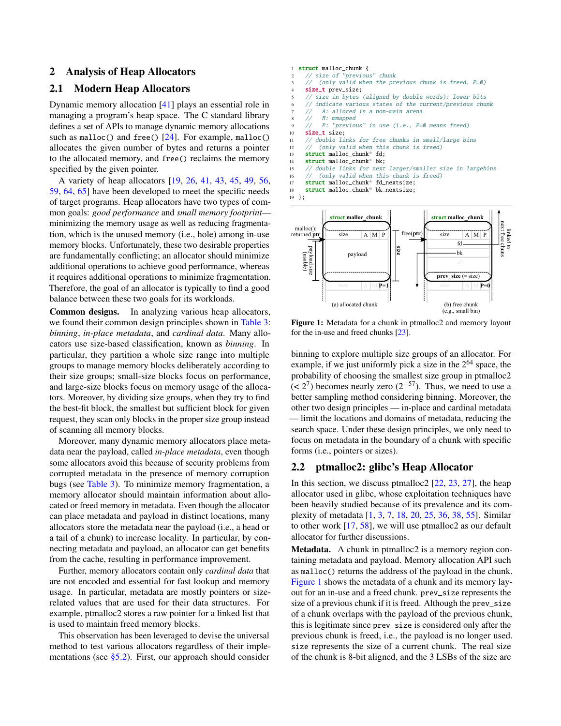#### 2 Analysis of Heap Allocators

#### <span id="page-2-1"></span>2.1 Modern Heap Allocators

Dynamic memory allocation [\[41\]](#page-14-15) plays an essential role in managing a program's heap space. The C standard library defines a set of APIs to manage dynamic memory allocations such as malloc() and free()  $[24]$ . For example, malloc() allocates the given number of bytes and returns a pointer to the allocated memory, and free() reclaims the memory specified by the given pointer.

A variety of heap allocators [\[19,](#page-14-17) [26,](#page-14-18) [41,](#page-14-15) [43,](#page-14-19) [45,](#page-15-15) [49,](#page-15-11) [56,](#page-15-14) [59,](#page-15-16) [64,](#page-15-0) [65\]](#page-15-1) have been developed to meet the specific needs of target programs. Heap allocators have two types of common goals: *good performance* and *small memory footprint* minimizing the memory usage as well as reducing fragmentation, which is the unused memory (i.e., hole) among in-use memory blocks. Unfortunately, these two desirable properties are fundamentally conflicting; an allocator should minimize additional operations to achieve good performance, whereas it requires additional operations to minimize fragmentation. Therefore, the goal of an allocator is typically to find a good balance between these two goals for its workloads.

Common designs. In analyzing various heap allocators, we found their common design principles shown in [Table 3:](#page-1-1) *binning*, *in-place metadata*, and *cardinal data*. Many allocators use size-based classification, known as *binning*. In particular, they partition a whole size range into multiple groups to manage memory blocks deliberately according to their size groups; small-size blocks focus on performance, and large-size blocks focus on memory usage of the allocators. Moreover, by dividing size groups, when they try to find the best-fit block, the smallest but sufficient block for given request, they scan only blocks in the proper size group instead of scanning all memory blocks.

Moreover, many dynamic memory allocators place metadata near the payload, called *in-place metadata*, even though some allocators avoid this because of security problems from corrupted metadata in the presence of memory corruption bugs (see [Table 3\)](#page-1-1). To minimize memory fragmentation, a memory allocator should maintain information about allocated or freed memory in metadata. Even though the allocator can place metadata and payload in distinct locations, many allocators store the metadata near the payload (i.e., a head or a tail of a chunk) to increase locality. In particular, by connecting metadata and payload, an allocator can get benefits from the cache, resulting in performance improvement.

Further, memory allocators contain only *cardinal data* that are not encoded and essential for fast lookup and memory usage. In particular, metadata are mostly pointers or sizerelated values that are used for their data structures. For example, ptmalloc2 stores a raw pointer for a linked list that is used to maintain freed memory blocks.

This observation has been leveraged to devise the universal method to test various allocators regardless of their implementations (see  $\S$ 5.2). First, our approach should consider

```
1 struct malloc_chunk {
2 // size of "previous" chunk
        (only valid when the previous chunk is freed, P=0)
    size_t prev_size;
    // size in bytes (aligned by double words): lower bits
       indicate various states of the current/previous chunk
    // A: alloced in a non-main arena
         M: mmapped
         P: "previous" in use (i.e., P=0 means freed)
10 size_t size;
11 // double links for free chunks in small/large bins
12 // (only valid when this chunk is freed)
13 struct malloc_chunk* fd;
14 struct malloc_chunk* bk;
15 // double links for next larger/smaller size in largebins
16 // (only valid when this chunk is freed)
17 struct malloc_chunk* fd_nextsize;
18 struct malloc_chunk* bk_nextsize;
19 };
            struct malloc_chunk
                                          struct malloc_chunk
```


Figure 1: Metadata for a chunk in ptmalloc2 and memory layout for the in-use and freed chunks [\[23\]](#page-14-20).

binning to explore multiple size groups of an allocator. For example, if we just uniformly pick a size in the  $2^{64}$  space, the probability of choosing the smallest size group in ptmalloc2  $(< 2<sup>7</sup>)$  becomes nearly zero  $(2<sup>-57</sup>)$ . Thus, we need to use a better sampling method considering binning. Moreover, the other two design principles — in-place and cardinal metadata — limit the locations and domains of metadata, reducing the search space. Under these design principles, we only need to focus on metadata in the boundary of a chunk with specific forms (i.e., pointers or sizes).

#### 2.2 ptmalloc2: glibc's Heap Allocator

In this section, we discuss ptmalloc2  $[22, 23, 27]$  $[22, 23, 27]$  $[22, 23, 27]$  $[22, 23, 27]$  $[22, 23, 27]$ , the heap allocator used in glibc, whose exploitation techniques have been heavily studied because of its prevalence and its complexity of metadata [\[1,](#page-14-3) [3,](#page-14-23) [7,](#page-14-8) [18,](#page-14-10) [20,](#page-14-6) [25,](#page-14-5) [36,](#page-14-7) [38,](#page-14-4) [55\]](#page-15-8). Similar to other work [\[17,](#page-14-13) [58\]](#page-15-17), we will use ptmalloc2 as our default allocator for further discussions.

Metadata. A chunk in ptmalloc2 is a memory region containing metadata and payload. Memory allocation API such as malloc() returns the address of the payload in the chunk. [Figure 1](#page-2-0) shows the metadata of a chunk and its memory layout for an in-use and a freed chunk. prev\_size represents the size of a previous chunk if it is freed. Although the prev\_size of a chunk overlaps with the payload of the previous chunk, this is legitimate since prev\_size is considered only after the previous chunk is freed, i.e., the payload is no longer used. size represents the size of a current chunk. The real size of the chunk is 8-bit aligned, and the 3 LSBs of the size are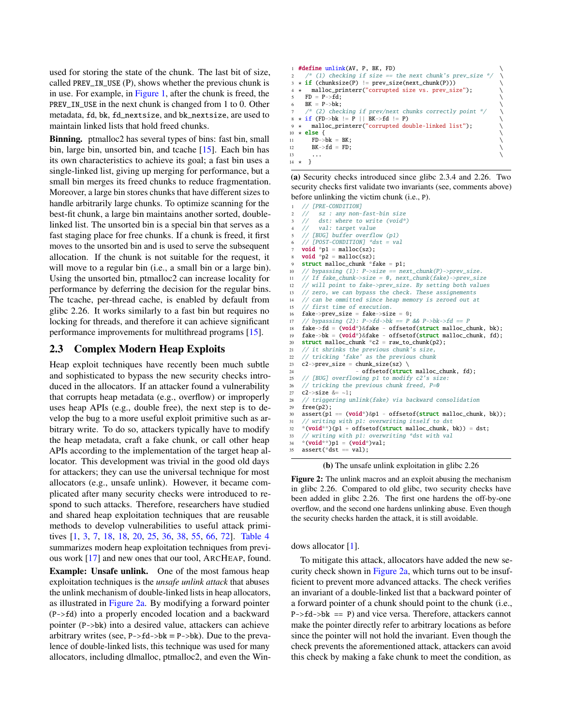used for storing the state of the chunk. The last bit of size, called PREV\_IN\_USE (P), shows whether the previous chunk is in use. For example, in [Figure 1,](#page-2-0) after the chunk is freed, the PREV\_IN\_USE in the next chunk is changed from 1 to 0. Other metadata, fd, bk, fd\_nextsize, and bk\_nextsize, are used to maintain linked lists that hold freed chunks.

Binning. ptmalloc2 has several types of bins: fast bin, small bin, large bin, unsorted bin, and tcache [\[15\]](#page-14-24). Each bin has its own characteristics to achieve its goal; a fast bin uses a single-linked list, giving up merging for performance, but a small bin merges its freed chunks to reduce fragmentation. Moreover, a large bin stores chunks that have different sizes to handle arbitrarily large chunks. To optimize scanning for the best-fit chunk, a large bin maintains another sorted, doublelinked list. The unsorted bin is a special bin that serves as a fast staging place for free chunks. If a chunk is freed, it first moves to the unsorted bin and is used to serve the subsequent allocation. If the chunk is not suitable for the request, it will move to a regular bin (i.e., a small bin or a large bin). Using the unsorted bin, ptmalloc2 can increase locality for performance by deferring the decision for the regular bins. The tcache, per-thread cache, is enabled by default from glibc 2.26. It works similarly to a fast bin but requires no locking for threads, and therefore it can achieve significant performance improvements for multithread programs [\[15\]](#page-14-24).

## <span id="page-3-1"></span>2.3 Complex Modern Heap Exploits

Heap exploit techniques have recently been much subtle and sophisticated to bypass the new security checks introduced in the allocators. If an attacker found a vulnerability that corrupts heap metadata (e.g., overflow) or improperly uses heap APIs (e.g., double free), the next step is to develop the bug to a more useful exploit primitive such as arbitrary write. To do so, attackers typically have to modify the heap metadata, craft a fake chunk, or call other heap APIs according to the implementation of the target heap allocator. This development was trivial in the good old days for attackers; they can use the universal technique for most allocators (e.g., unsafe unlink). However, it became complicated after many security checks were introduced to respond to such attacks. Therefore, researchers have studied and shared heap exploitation techniques that are reusable methods to develop vulnerabilities to useful attack primitives [\[1,](#page-14-3) [3,](#page-14-23) [7,](#page-14-8) [18,](#page-14-10) [18,](#page-14-10) [20,](#page-14-6) [25,](#page-14-5) [36,](#page-14-7) [38,](#page-14-4) [55,](#page-15-8) [66,](#page-15-10) [72\]](#page-15-9). [Table 4](#page-4-1) summarizes modern heap exploitation techniques from previous work [\[17\]](#page-14-13) and new ones that our tool, ARCHEAP, found.

Example: Unsafe unlink. One of the most famous heap exploitation techniques is the *unsafe unlink attack* that abuses the unlink mechanism of double-linked lists in heap allocators, as illustrated in [Figure 2a.](#page-3-0) By modifying a forward pointer (P->fd) into a properly encoded location and a backward pointer (P->bk) into a desired value, attackers can achieve arbitrary writes (see,  $P \rightarrow fd \rightarrow bk = P \rightarrow bk$ ). Due to the prevalence of double-linked lists, this technique was used for many allocators, including dlmalloc, ptmalloc2, and even the Win-

```
1 #define unlink(AV, P, BK, FD) \
      (1) checking if size = the next chunk's prev_size
3 \times if (chunksize(P) != prev_size(next_chunk(P)))
4 ⋆ malloc_printerr("corrupted size vs. prev_size"); \
5 FD = P->fd;
6 BK = P->bk;
     * (2) checking if prev/next chunks correctly point *\star if (FD->bk != P || BK->fd != P)
     malloc_printerr("corrupted double-linked list");
10 \times else { \sqrt{ }11 FD - > bk = BK;
12 BK \rightarrow fd = FD;13 \quad \ldots14 \star }
```
(a) Security checks introduced since glibc 2.3.4 and 2.26. Two security checks first validate two invariants (see, comments above) before unlinking the victim chunk (i.e., P).

```
// [PRE-CONDITION]
    // sz : any non-fast-bin size<br>// dst: where to write (void*
         dst: where to write (void*)
    // val: target value
    5 // [BUG] buffer overflow (p1)
    \frac{1}{\sqrt{6}} [POST-CONDITION] *dst = val
    void *p1 = malloc(sz);
    void *p2 = \text{malloc}(sz);struct malloc_chunk *fake = p1;
10 // bypassing (1): P->size == next\_chunk(P)->prev_size.
11 // If fake_chunk->size = 0, next_chunk(fake)->prev_size
12 // will point to fake->prev_size. By setting both values
13 // zero, we can bypass the check. These assignements
14 // can be ommitted since heap memory is zeroed out at
15 // first time of execution.
16 fake->prev_size = fake->size = 0;
17 // bypassing (2): P \rightarrow fd \rightarrow bk == P && P \rightarrow bk \rightarrow fd == P18 fake->fd = (void*)&fake - offsetof(struct malloc_chunk, bk);
19 fake->bk = (void*)&fake - offsetof(struct malloc_chunk, fd);
20 struct malloc_chunk *c2 = raw_to_chunk(p2);
21 // it shrinks the previous chunk's size,
22 // tricking 'fake' as the previous chunk
23 c2->prev_size = chunk_size(sz) \
24 - offsetof(struct malloc chunk, fd);
25 // [BUG] overflowing p1 to modify c2's size:
26 // tricking the previous chunk freed, P=0
27 c2->size &= ~1;
28 // triggering unlink(fake) via backward consolidation
29 free(p2);
30 assert(p1 == (void*)&p1 - offsetof(struct malloc_chunk, bk));
31 // writing with p1: overwriting itself to dst
32 *(void**)(p1 + offsetof(struct malloc_chunk, bk)) = dst;
33 // writing with p1: overwriting *dst with val<br>34 *(void**)p1 = (void*)val:
    *(\text{void}^{**})p1 = (\text{void}^*)\text{val};35 assert(*dst == val);
```
(b) The unsafe unlink exploitation in glibc 2.26

Figure 2: The unlink macros and an exploit abusing the mechanism in glibc 2.26. Compared to old glibc, two security checks have been added in glibc 2.26. The first one hardens the off-by-one overflow, and the second one hardens unlinking abuse. Even though the security checks harden the attack, it is still avoidable.

dows allocator [\[1\]](#page-14-3).

To mitigate this attack, allocators have added the new security check shown in Figure  $2a$ , which turns out to be insufficient to prevent more advanced attacks. The check verifies an invariant of a double-linked list that a backward pointer of a forward pointer of a chunk should point to the chunk (i.e.,  $P \rightarrow fd \rightarrow bk == P$  and vice versa. Therefore, attackers cannot make the pointer directly refer to arbitrary locations as before since the pointer will not hold the invariant. Even though the check prevents the aforementioned attack, attackers can avoid this check by making a fake chunk to meet the condition, as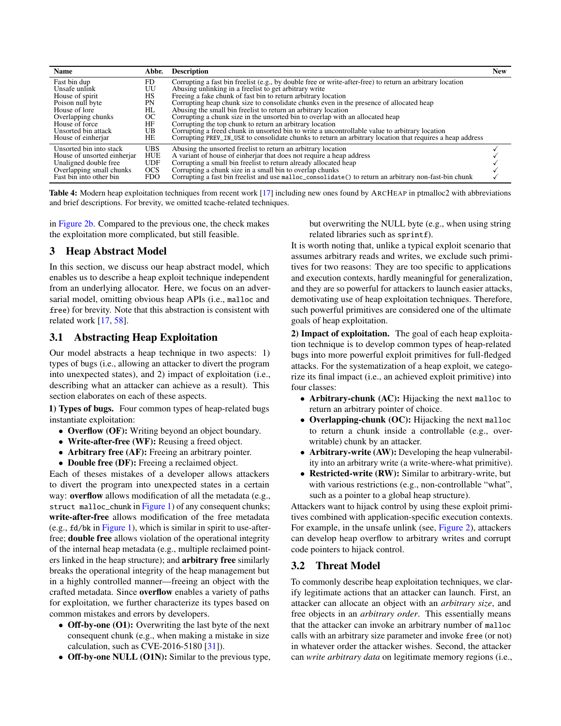<span id="page-4-1"></span>

| <b>Name</b>                 | Abbr.      | <b>Description</b>                                                                                        | <b>New</b> |
|-----------------------------|------------|-----------------------------------------------------------------------------------------------------------|------------|
| Fast bin dup                | FD.        | Corrupting a fast bin freelist (e.g., by double free or write-after-free) to return an arbitrary location |            |
| Unsafe unlink               | UU         | Abusing unlinking in a freelist to get arbitrary write                                                    |            |
| House of spirit             | HS         | Freeing a fake chunk of fast bin to return arbitrary location                                             |            |
| Poison null byte            | PN         | Corrupting heap chunk size to consolidate chunks even in the presence of allocated heap                   |            |
| House of lore               | HL         | Abusing the small bin freelist to return an arbitrary location                                            |            |
| Overlapping chunks          | OC.        | Corrupting a chunk size in the unsorted bin to overlap with an allocated heap                             |            |
| House of force              | HF         | Corrupting the top chunk to return an arbitrary location                                                  |            |
| Unsorted bin attack         | UB         | Corrupting a freed chunk in unsorted bin to write a uncontrollable value to arbitrary location            |            |
| House of einherjar          | HE         | Corrupting PREV_IN_USE to consolidate chunks to return an arbitrary location that requires a heap address |            |
| Unsorted bin into stack     | <b>UBS</b> | Abusing the unsorted freelist to return an arbitrary location                                             |            |
| House of unsorted einherjar | HUE        | A variant of house of einherjar that does not require a heap address                                      |            |
| Unaligned double free       | <b>UDF</b> | Corrupting a small bin freelist to return already allocated heap                                          |            |
| Overlapping small chunks    | <b>OCS</b> | Corrupting a chunk size in a small bin to overlap chunks                                                  |            |
| Fast bin into other bin     | <b>FDO</b> | Corrupting a fast bin freelist and use malloc_consolidate() to return an arbitrary non-fast-bin chunk     |            |

Table 4: Modern heap exploitation techniques from recent work [\[17\]](#page-14-13) including new ones found by ARCHEAP in ptmalloc2 with abbreviations and brief descriptions. For brevity, we omitted tcache-related techniques.

in [Figure 2b.](#page-3-0) Compared to the previous one, the check makes the exploitation more complicated, but still feasible.

## 3 Heap Abstract Model

In this section, we discuss our heap abstract model, which enables us to describe a heap exploit technique independent from an underlying allocator. Here, we focus on an adversarial model, omitting obvious heap APIs (i.e., malloc and free) for brevity. Note that this abstraction is consistent with related work [\[17,](#page-14-13) [58\]](#page-15-17).

# <span id="page-4-0"></span>3.1 Abstracting Heap Exploitation

Our model abstracts a heap technique in two aspects: 1) types of bugs (i.e., allowing an attacker to divert the program into unexpected states), and 2) impact of exploitation (i.e., describing what an attacker can achieve as a result). This section elaborates on each of these aspects.

1) Types of bugs. Four common types of heap-related bugs instantiate exploitation:

- Overflow (OF): Writing beyond an object boundary.
- Write-after-free (WF): Reusing a freed object.
- Arbitrary free (AF): Freeing an arbitrary pointer.
- Double free (DF): Freeing a reclaimed object.

Each of theses mistakes of a developer allows attackers to divert the program into unexpected states in a certain way: overflow allows modification of all the metadata (e.g., struct malloc\_chunk in [Figure 1\)](#page-2-0) of any consequent chunks; write-after-free allows modification of the free metadata (e.g., fd/bk in [Figure 1\)](#page-2-0), which is similar in spirit to use-afterfree; double free allows violation of the operational integrity of the internal heap metadata (e.g., multiple reclaimed pointers linked in the heap structure); and arbitrary free similarly breaks the operational integrity of the heap management but in a highly controlled manner—freeing an object with the crafted metadata. Since overflow enables a variety of paths for exploitation, we further characterize its types based on common mistakes and errors by developers.

- Off-by-one (O1): Overwriting the last byte of the next consequent chunk (e.g., when making a mistake in size calculation, such as CVE-2016-5180  $[31]$ ).
- Off-by-one NULL (O1N): Similar to the previous type,

but overwriting the NULL byte (e.g., when using string related libraries such as sprintf).

It is worth noting that, unlike a typical exploit scenario that assumes arbitrary reads and writes, we exclude such primitives for two reasons: They are too specific to applications and execution contexts, hardly meaningful for generalization, and they are so powerful for attackers to launch easier attacks, demotivating use of heap exploitation techniques. Therefore, such powerful primitives are considered one of the ultimate goals of heap exploitation.

2) Impact of exploitation. The goal of each heap exploitation technique is to develop common types of heap-related bugs into more powerful exploit primitives for full-fledged attacks. For the systematization of a heap exploit, we categorize its final impact (i.e., an achieved exploit primitive) into four classes:

- Arbitrary-chunk (AC): Hijacking the next malloc to return an arbitrary pointer of choice.
- Overlapping-chunk (OC): Hijacking the next malloc to return a chunk inside a controllable (e.g., overwritable) chunk by an attacker.
- Arbitrary-write (AW): Developing the heap vulnerability into an arbitrary write (a write-where-what primitive).
- Restricted-write (RW): Similar to arbitrary-write, but with various restrictions (e.g., non-controllable "what", such as a pointer to a global heap structure).

Attackers want to hijack control by using these exploit primitives combined with application-specific execution contexts. For example, in the unsafe unlink (see, [Figure 2\)](#page-3-0), attackers can develop heap overflow to arbitrary writes and corrupt code pointers to hijack control.

# <span id="page-4-2"></span>3.2 Threat Model

To commonly describe heap exploitation techniques, we clarify legitimate actions that an attacker can launch. First, an attacker can allocate an object with an *arbitrary size*, and free objects in an *arbitrary order*. This essentially means that the attacker can invoke an arbitrary number of malloc calls with an arbitrary size parameter and invoke free (or not) in whatever order the attacker wishes. Second, the attacker can *write arbitrary data* on legitimate memory regions (i.e.,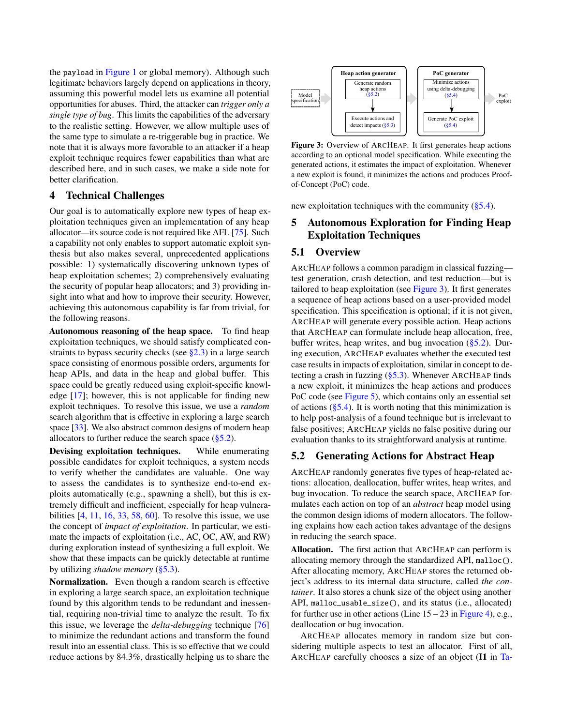the payload in [Figure 1](#page-2-0) or global memory). Although such legitimate behaviors largely depend on applications in theory, assuming this powerful model lets us examine all potential opportunities for abuses. Third, the attacker can *trigger only a single type of bug*. This limits the capabilities of the adversary to the realistic setting. However, we allow multiple uses of the same type to simulate a re-triggerable bug in practice. We note that it is always more favorable to an attacker if a heap exploit technique requires fewer capabilities than what are described here, and in such cases, we make a side note for better clarification.

#### 4 Technical Challenges

Our goal is to automatically explore new types of heap exploitation techniques given an implementation of any heap allocator—its source code is not required like AFL [\[75\]](#page-15-12). Such a capability not only enables to support automatic exploit synthesis but also makes several, unprecedented applications possible: 1) systematically discovering unknown types of heap exploitation schemes; 2) comprehensively evaluating the security of popular heap allocators; and 3) providing insight into what and how to improve their security. However, achieving this autonomous capability is far from trivial, for the following reasons.

Autonomous reasoning of the heap space. To find heap exploitation techniques, we should satisfy complicated constraints to bypass security checks (see  $\S 2.3$ ) in a large search space consisting of enormous possible orders, arguments for heap APIs, and data in the heap and global buffer. This space could be greatly reduced using exploit-specific knowledge [\[17\]](#page-14-13); however, this is not applicable for finding new exploit techniques. To resolve this issue, we use a *random* search algorithm that is effective in exploring a large search space [\[33\]](#page-14-26). We also abstract common designs of modern heap allocators to further reduce the search space  $(\S 5.2)$ .

Devising exploitation techniques. While enumerating possible candidates for exploit techniques, a system needs to verify whether the candidates are valuable. One way to assess the candidates is to synthesize end-to-end exploits automatically (e.g., spawning a shell), but this is extremely difficult and inefficient, especially for heap vulnerabilities [\[4,](#page-14-27) [11,](#page-14-28) [16,](#page-14-29) [33,](#page-14-26) [58,](#page-15-17) [60\]](#page-15-18). To resolve this issue, we use the concept of *impact of exploitation*. In particular, we estimate the impacts of exploitation (i.e., AC, OC, AW, and RW) during exploration instead of synthesizing a full exploit. We show that these impacts can be quickly detectable at runtime by utilizing *shadow memory* [\(§5.3\)](#page-7-0).

Normalization. Even though a random search is effective in exploring a large search space, an exploitation technique found by this algorithm tends to be redundant and inessential, requiring non-trivial time to analyze the result. To fix this issue, we leverage the *delta-debugging* technique [\[76\]](#page-15-13) to minimize the redundant actions and transform the found result into an essential class. This is so effective that we could reduce actions by 84.3%, drastically helping us to share the

<span id="page-5-1"></span>

Figure 3: Overview of ARCHEAP. It first generates heap actions according to an optional model specification. While executing the generated actions, it estimates the impact of exploitation. Whenever a new exploit is found, it minimizes the actions and produces Proofof-Concept (PoC) code.

new exploitation techniques with the community  $(\S 5.4)$ .

## 5 Autonomous Exploration for Finding Heap Exploitation Techniques

## <span id="page-5-2"></span>5.1 Overview

ARCHEAP follows a common paradigm in classical fuzzing test generation, crash detection, and test reduction—but is tailored to heap exploitation (see [Figure 3\)](#page-5-1). It first generates a sequence of heap actions based on a user-provided model specification. This specification is optional; if it is not given, ARCHEAP will generate every possible action. Heap actions that ARCHEAP can formulate include heap allocation, free, buffer writes, heap writes, and bug invocation [\(§5.2\)](#page-5-0). During execution, ARCHEAP evaluates whether the executed test case results in impacts of exploitation, similar in concept to detecting a crash in fuzzing  $(\S5.3)$ . Whenever ARCHEAP finds a new exploit, it minimizes the heap actions and produces PoC code (see [Figure 5\)](#page-7-1), which contains only an essential set of actions  $(\S 5.4)$ . It is worth noting that this minimization is to help post-analysis of a found technique but is irrelevant to false positives; ARCHEAP yields no false positive during our evaluation thanks to its straightforward analysis at runtime.

## <span id="page-5-0"></span>5.2 Generating Actions for Abstract Heap

ARCHEAP randomly generates five types of heap-related actions: allocation, deallocation, buffer writes, heap writes, and bug invocation. To reduce the search space, ARCHEAP formulates each action on top of an *abstract* heap model using the common design idioms of modern allocators. The following explains how each action takes advantage of the designs in reducing the search space.

Allocation. The first action that ARCHEAP can perform is allocating memory through the standardized API, malloc(). After allocating memory, ARCHEAP stores the returned object's address to its internal data structure, called *the container*. It also stores a chunk size of the object using another API, malloc\_usable\_size(), and its status (i.e., allocated) for further use in other actions (Line  $15 - 23$  in [Figure 4\)](#page-6-0), e.g., deallocation or bug invocation.

ARCHEAP allocates memory in random size but considering multiple aspects to test an allocator. First of all, ARCHEAP carefully chooses a size of an object (I1 in [Ta-](#page-6-1)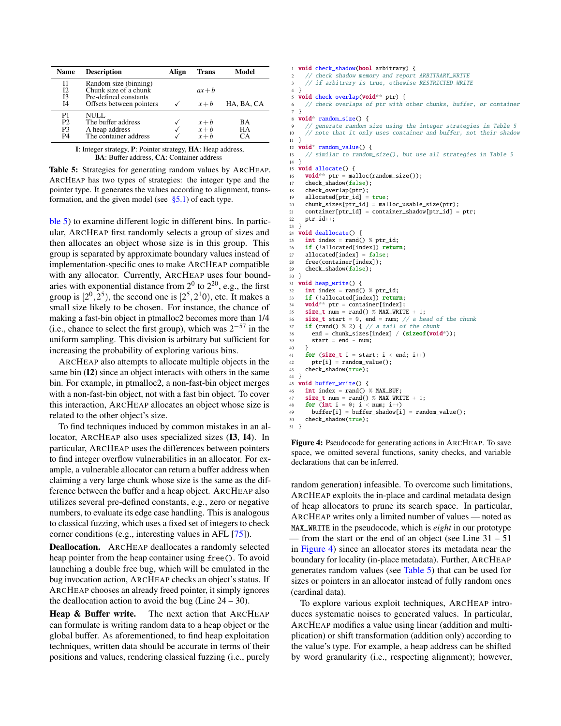<span id="page-6-1"></span>

| <b>Name</b>                                              | <b>Description</b>                                                      | Align | <b>Trans</b>              | Model          |
|----------------------------------------------------------|-------------------------------------------------------------------------|-------|---------------------------|----------------|
| Ī1<br>I <sub>2</sub><br>Ι3                               | Random size (binning)<br>Chunk size of a chunk<br>Pre-defined constants |       | $ax + b$                  |                |
| Ī4                                                       | Offsets between pointers                                                |       | $x + b$                   | HA, BA, CA     |
| P1<br>P <sub>2</sub><br>P <sub>3</sub><br>P <sub>4</sub> | NULL.<br>The buffer address<br>A heap address<br>The container address  |       | $x+b$<br>$x+b$<br>$x + b$ | BA<br>HA<br>CА |

I: Integer strategy, P: Pointer strategy, HA: Heap address, BA: Buffer address, CA: Container address

Table 5: Strategies for generating random values by ARCHEAP. ARCHEAP has two types of strategies: the integer type and the pointer type. It generates the values according to alignment, transformation, and the given model (see  $\S$ 5.1) of each type.

[ble 5\)](#page-6-1) to examine different logic in different bins. In particular, ARCHEAP first randomly selects a group of sizes and then allocates an object whose size is in this group. This group is separated by approximate boundary values instead of implementation-specific ones to make ARCHEAP compatible with any allocator. Currently, ARCHEAP uses four boundaries with exponential distance from  $2^0$  to  $2^{20}$ , e.g., the first group is  $[2^0, 2^5)$ , the second one is  $[2^5, 2^10)$ , etc. It makes a small size likely to be chosen. For instance, the chance of making a fast-bin object in ptmalloc2 becomes more than 1/4 (i.e., chance to select the first group), which was  $2^{-57}$  in the uniform sampling. This division is arbitrary but sufficient for increasing the probability of exploring various bins.

ARCHEAP also attempts to allocate multiple objects in the same bin (I2) since an object interacts with others in the same bin. For example, in ptmalloc2, a non-fast-bin object merges with a non-fast-bin object, not with a fast bin object. To cover this interaction, ARCHEAP allocates an object whose size is related to the other object's size.

To find techniques induced by common mistakes in an allocator, ARCHEAP also uses specialized sizes (I3, I4). In particular, ARCHEAP uses the differences between pointers to find integer overflow vulnerabilities in an allocator. For example, a vulnerable allocator can return a buffer address when claiming a very large chunk whose size is the same as the difference between the buffer and a heap object. ARCHEAP also utilizes several pre-defined constants, e.g., zero or negative numbers, to evaluate its edge case handling. This is analogous to classical fuzzing, which uses a fixed set of integers to check corner conditions (e.g., interesting values in AFL [\[75\]](#page-15-12)).

Deallocation. ARCHEAP deallocates a randomly selected heap pointer from the heap container using free(). To avoid launching a double free bug, which will be emulated in the bug invocation action, ARCHEAP checks an object's status. If ARCHEAP chooses an already freed pointer, it simply ignores the deallocation action to avoid the bug (Line  $24 - 30$ ).

Heap & Buffer write. The next action that ARCHEAP can formulate is writing random data to a heap object or the global buffer. As aforementioned, to find heap exploitation techniques, written data should be accurate in terms of their positions and values, rendering classical fuzzing (i.e., purely

```
1 void check_shadow(bool arbitrary) {
2 // check shadow memory and report ARBITRARY_WRITE
3 // if arbitrary is true, othewise RESTRICTED_WRITE
4 }
5 void check_overlap(void** ptr) {
 6 // check overlaps of ptr with other chunks, buffer, or container
 7 }
   void* random_size() {
       generate random size using the integer strategies in Table 5
10 \frac{1}{10} note that it only uses container and buffer, not their shadow
1112 void* random_value() {
13 // similar to random_size(), but use all strategies in Table 5<br>14 }
1415 void allocate() {
16 void** ptr = malloc(random_size());
17 check shadow(false):
18 check_overlap(ptr);
19 allocated[ptr_id] = true;
20 chunk sizes[ptr_id] = malloc_usable_size(ptr);
21 container[ptr_id] = container_shadow[ptr_id] = ptr;
22 ptr_id++;
23 }
24 void deallocate() {
25 int index = rand() %ptr_id;26 if (!allocated[index]) return;
27 allocated[index] = false;
28 free(container[index]);
29 check_shadow(false);
30 }
31 void heap_write() {
32 int index = rand() % ptr_id;
33 if (!allocated[index]) return;
34 void** ptr = container[index];<br>35 size_t num = rand() % MAX_WRIT
    size_t num = rand() % MAX_WRITE + 1;
36 size_t start = \theta, end = num; // a head of the chunk
37 if (rand() % 2) { // a tail of the chunk
38 end = chunk_sizes[index] / (sizeof(void*));
39 start = end - num:
40 }
41 for (size_t i = start; i < end; i++)
42 ptr[i] = random_value();
43 check_shadow(true);
44 }
45 void buffer_write() {
46 int index = rand() % MAX BUF:47 size_t num = rand() % MAX_WRITE + 1;
48 for (int i = 0; i < num; i++)49 buffer[i] = buffer_shadow[i] = random_value();
50 check_shadow(true);
51 }
```
Figure 4: Pseudocode for generating actions in ARCHEAP. To save space, we omitted several functions, sanity checks, and variable declarations that can be inferred.

random generation) infeasible. To overcome such limitations, ARCHEAP exploits the in-place and cardinal metadata design of heap allocators to prune its search space. In particular, ARCHEAP writes only a limited number of values — noted as MAX\_WRITE in the pseudocode, which is *eight* in our prototype — from the start or the end of an object (see Line  $31 - 51$ ) in [Figure 4\)](#page-6-0) since an allocator stores its metadata near the boundary for locality (in-place metadata). Further, ARCHEAP generates random values (see [Table 5\)](#page-6-1) that can be used for sizes or pointers in an allocator instead of fully random ones (cardinal data).

To explore various exploit techniques, ARCHEAP introduces systematic noises to generated values. In particular, ARCHEAP modifies a value using linear (addition and multiplication) or shift transformation (addition only) according to the value's type. For example, a heap address can be shifted by word granularity (i.e., respecting alignment); however,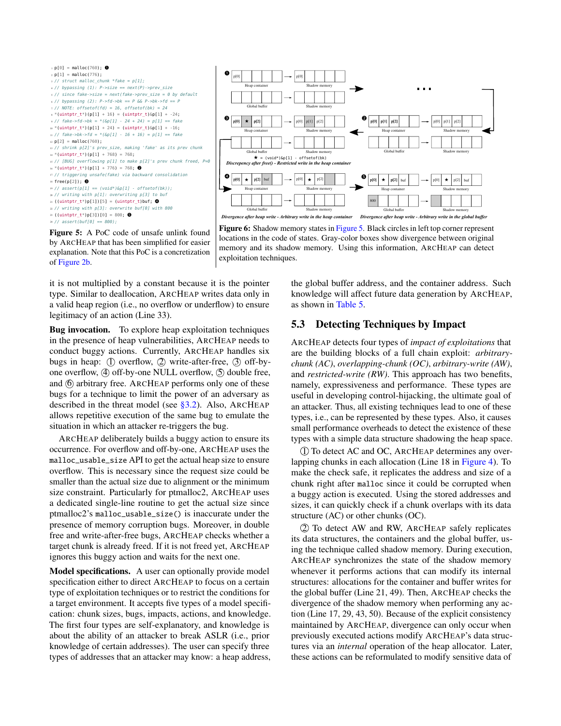<span id="page-7-1"></span>



Figure 5: A PoC code of unsafe unlink found by ARCHEAP that has been simplified for easier explanation. Note that this PoC is a concretization of [Figure 2b.](#page-3-0)

it is not multiplied by a constant because it is the pointer type. Similar to deallocation, ARCHEAP writes data only in a valid heap region (i.e., no overflow or underflow) to ensure legitimacy of an action (Line 33).

Bug invocation. To explore heap exploitation techniques in the presence of heap vulnerabilities, ARCHEAP needs to conduct buggy actions. Currently, ARCHEAP handles six bugs in heap:  $(1)$  overflow,  $(2)$  write-after-free,  $(3)$  off-byone overflow,  $\phi$  off-by-one NULL overflow,  $\phi$  double free, and  $(6)$  arbitrary free. ARCHEAP performs only one of these bugs for a technique to limit the power of an adversary as described in the threat model (see [§3.2\)](#page-4-2). Also, ARCHEAP allows repetitive execution of the same bug to emulate the situation in which an attacker re-triggers the bug.

ARCHEAP deliberately builds a buggy action to ensure its occurrence. For overflow and off-by-one, ARCHEAP uses the malloc\_usable\_size API to get the actual heap size to ensure overflow. This is necessary since the request size could be smaller than the actual size due to alignment or the minimum size constraint. Particularly for ptmalloc2, ARCHEAP uses a dedicated single-line routine to get the actual size since ptmalloc2's malloc\_usable\_size() is inaccurate under the presence of memory corruption bugs. Moreover, in double free and write-after-free bugs, ARCHEAP checks whether a target chunk is already freed. If it is not freed yet, ARCHEAP ignores this buggy action and waits for the next one.

Model specifications. A user can optionally provide model specification either to direct ARCHEAP to focus on a certain type of exploitation techniques or to restrict the conditions for a target environment. It accepts five types of a model specification: chunk sizes, bugs, impacts, actions, and knowledge. The first four types are self-explanatory, and knowledge is about the ability of an attacker to break ASLR (i.e., prior knowledge of certain addresses). The user can specify three types of addresses that an attacker may know: a heap address,

memory and its shadow memory. Using this information, ARCHEAP can detect exploitation techniques.

Figure 6: Shadow memory states in [Figure 5.](#page-7-1) Black circles in left top corner represent locations in the code of states. Gray-color boxes show divergence between original

> the global buffer address, and the container address. Such knowledge will affect future data generation by ARCHEAP, as shown in [Table 5.](#page-6-1)

## <span id="page-7-0"></span>5.3 Detecting Techniques by Impact

ARCHEAP detects four types of *impact of exploitations* that are the building blocks of a full chain exploit: *arbitrarychunk (AC)*, *overlapping-chunk (OC)*, *arbitrary-write (AW)*, and *restricted-write (RW)*. This approach has two benefits, namely, expressiveness and performance. These types are useful in developing control-hijacking, the ultimate goal of an attacker. Thus, all existing techniques lead to one of these types, i.e., can be represented by these types. Also, it causes small performance overheads to detect the existence of these types with a simple data structure shadowing the heap space.

1 To detect AC and OC, ARCHEAP determines any overlapping chunks in each allocation (Line 18 in [Figure 4\)](#page-6-0). To make the check safe, it replicates the address and size of a chunk right after malloc since it could be corrupted when a buggy action is executed. Using the stored addresses and sizes, it can quickly check if a chunk overlaps with its data structure (AC) or other chunks (OC).

2 To detect AW and RW, ARCHEAP safely replicates its data structures, the containers and the global buffer, using the technique called shadow memory. During execution, ARCHEAP synchronizes the state of the shadow memory whenever it performs actions that can modify its internal structures: allocations for the container and buffer writes for the global buffer (Line 21, 49). Then, ARCHEAP checks the divergence of the shadow memory when performing any action (Line 17, 29, 43, 50). Because of the explicit consistency maintained by ARCHEAP, divergence can only occur when previously executed actions modify ARCHEAP's data structures via an *internal* operation of the heap allocator. Later, these actions can be reformulated to modify sensitive data of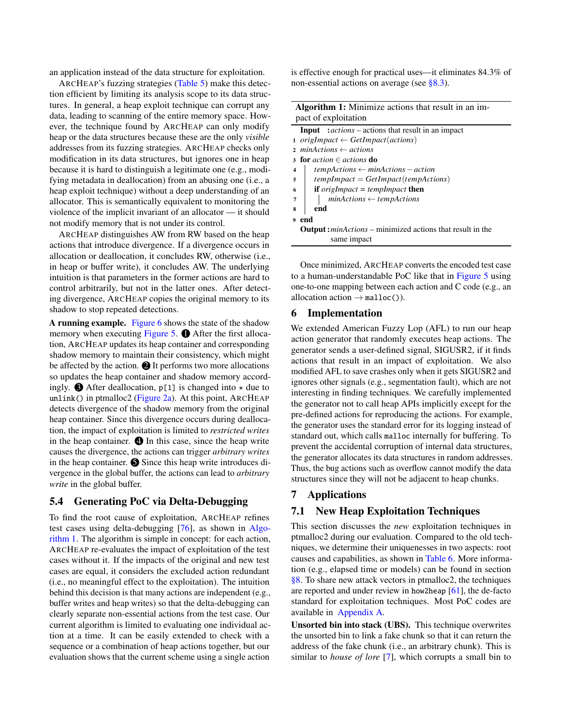an application instead of the data structure for exploitation.

ARCHEAP's fuzzing strategies [\(Table 5\)](#page-6-1) make this detection efficient by limiting its analysis scope to its data structures. In general, a heap exploit technique can corrupt any data, leading to scanning of the entire memory space. However, the technique found by ARCHEAP can only modify heap or the data structures because these are the only *visible* addresses from its fuzzing strategies. ARCHEAP checks only modification in its data structures, but ignores one in heap because it is hard to distinguish a legitimate one (e.g., modifying metadata in deallocation) from an abusing one (i.e., a heap exploit technique) without a deep understanding of an allocator. This is semantically equivalent to monitoring the violence of the implicit invariant of an allocator — it should not modify memory that is not under its control.

ARCHEAP distinguishes AW from RW based on the heap actions that introduce divergence. If a divergence occurs in allocation or deallocation, it concludes RW, otherwise (i.e., in heap or buffer write), it concludes AW. The underlying intuition is that parameters in the former actions are hard to control arbitrarily, but not in the latter ones. After detecting divergence, ARCHEAP copies the original memory to its shadow to stop repeated detections.

A running example. [Figure 6](#page-7-1) shows the state of the shadow memory when executing [Figure 5.](#page-7-1)  $\bullet$  After the first allocation, ARCHEAP updates its heap container and corresponding shadow memory to maintain their consistency, which might be affected by the action.  $\bigcirc$  It performs two more allocations so updates the heap container and shadow memory accordingly.  $\bigcirc$  After deallocation, p[1] is changed into  $\star$  due to unlink() in ptmalloc2 [\(Figure 2a\)](#page-3-0). At this point, ARCHEAP detects divergence of the shadow memory from the original heap container. Since this divergence occurs during deallocation, the impact of exploitation is limited to *restricted writes* in the heap container.  $\bigoplus$  In this case, since the heap write causes the divergence, the actions can trigger *arbitrary writes* in the heap container.  $\bigcirc$  Since this heap write introduces divergence in the global buffer, the actions can lead to *arbitrary write* in the global buffer.

#### <span id="page-8-0"></span>5.4 Generating PoC via Delta-Debugging

To find the root cause of exploitation, ARCHEAP refines test cases using delta-debugging [\[76\]](#page-15-13), as shown in [Algo](#page-8-1)[rithm 1.](#page-8-1) The algorithm is simple in concept: for each action, ARCHEAP re-evaluates the impact of exploitation of the test cases without it. If the impacts of the original and new test cases are equal, it considers the excluded action redundant (i.e., no meaningful effect to the exploitation). The intuition behind this decision is that many actions are independent (e.g., buffer writes and heap writes) so that the delta-debugging can clearly separate non-essential actions from the test case. Our current algorithm is limited to evaluating one individual action at a time. It can be easily extended to check with a sequence or a combination of heap actions together, but our evaluation shows that the current scheme using a single action

is effective enough for practical uses—it eliminates 84.3% of non-essential actions on average (see [§8.3\)](#page-12-0).

Algorithm 1: Minimize actions that result in an impact of exploitation

| <b>Input</b> : <i>actions</i> – actions that result in an impact        |  |  |  |  |  |  |  |  |  |  |
|-------------------------------------------------------------------------|--|--|--|--|--|--|--|--|--|--|
| 1 origImpact $\leftarrow$ GetImpact(actions)                            |  |  |  |  |  |  |  |  |  |  |
| $\alpha$ minActions $\leftarrow$ actions                                |  |  |  |  |  |  |  |  |  |  |
| 3 for <i>action</i> $\in$ <i>actions</i> do                             |  |  |  |  |  |  |  |  |  |  |
| $tempActions \leftarrow minActions - action$<br>$\overline{\mathbf{4}}$ |  |  |  |  |  |  |  |  |  |  |
| $tempImport = GetImport(temp Actions)$<br>5                             |  |  |  |  |  |  |  |  |  |  |
| if <i>origImpact</i> = $tempImport$<br>6                                |  |  |  |  |  |  |  |  |  |  |
| $minActions \leftarrow templates$<br>$\overline{7}$                     |  |  |  |  |  |  |  |  |  |  |
| end<br>8                                                                |  |  |  |  |  |  |  |  |  |  |
| end                                                                     |  |  |  |  |  |  |  |  |  |  |
| <b>Output:</b> <i>minActions</i> – minimized actions that result in the |  |  |  |  |  |  |  |  |  |  |
| same impact                                                             |  |  |  |  |  |  |  |  |  |  |

<span id="page-8-1"></span>Once minimized, ARCHEAP converts the encoded test case to a human-understandable PoC like that in [Figure 5](#page-7-1) using one-to-one mapping between each action and C code (e.g., an allocation action  $\rightarrow$  malloc()).

#### 6 Implementation

We extended American Fuzzy Lop (AFL) to run our heap action generator that randomly executes heap actions. The generator sends a user-defined signal, SIGUSR2, if it finds actions that result in an impact of exploitation. We also modified AFL to save crashes only when it gets SIGUSR2 and ignores other signals (e.g., segmentation fault), which are not interesting in finding techniques. We carefully implemented the generator not to call heap APIs implicitly except for the pre-defined actions for reproducing the actions. For example, the generator uses the standard error for its logging instead of standard out, which calls malloc internally for buffering. To prevent the accidental corruption of internal data structures, the generator allocates its data structures in random addresses. Thus, the bug actions such as overflow cannot modify the data structures since they will not be adjacent to heap chunks.

## 7 Applications

#### <span id="page-8-2"></span>7.1 New Heap Exploitation Techniques

This section discusses the *new* exploitation techniques in ptmalloc2 during our evaluation. Compared to the old techniques, we determine their uniquenesses in two aspects: root causes and capabilities, as shown in [Table 6.](#page-9-0) More information (e.g., elapsed time or models) can be found in section [§8.](#page-10-0) To share new attack vectors in ptmalloc2, the techniques are reported and under review in how2heap  $[61]$ , the de-facto standard for exploitation techniques. Most PoC codes are available in [Appendix A.](#page-16-0)

Unsorted bin into stack (UBS). This technique overwrites the unsorted bin to link a fake chunk so that it can return the address of the fake chunk (i.e., an arbitrary chunk). This is similar to *house of lore* [\[7\]](#page-14-8), which corrupts a small bin to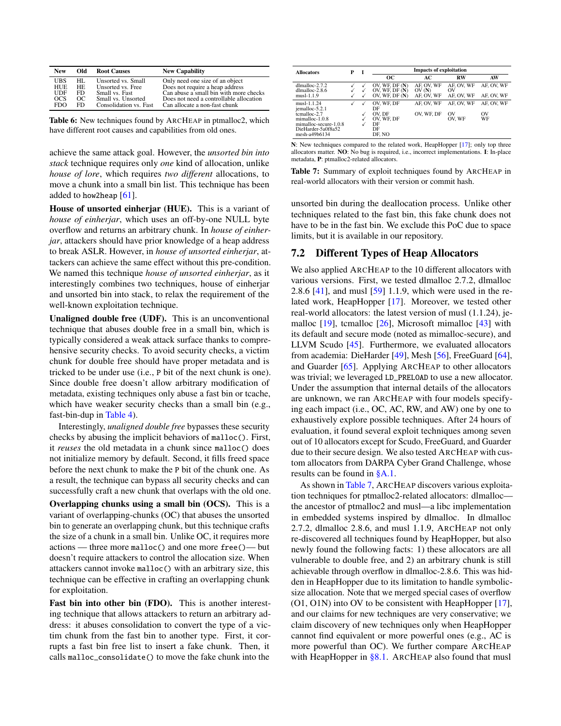<span id="page-9-0"></span>

| <b>New</b>  | Old | <b>Root Causes</b>     | <b>New Capability</b>                   |
|-------------|-----|------------------------|-----------------------------------------|
| <b>UBS</b>  | HL. | Unsorted vs. Small     | Only need one size of an object         |
| <b>HUE</b>  | HE. | Unsorted vs. Free      | Does not require a heap address         |
| <b>IIDF</b> | FD. | Small vs. Fast         | Can abuse a small bin with more checks  |
| $_{OCS}$    | OC. | Small vs. Unsorted     | Does not need a controllable allocation |
| FDO         | FD  | Consolidation vs. Fast | Can allocate a non-fast chunk           |

Table 6: New techniques found by ARCHEAP in ptmalloc2, which have different root causes and capabilities from old ones.

achieve the same attack goal. However, the *unsorted bin into stack* technique requires only *one* kind of allocation, unlike *house of lore*, which requires *two different* allocations, to move a chunk into a small bin list. This technique has been added to how2heap [\[61\]](#page-15-4).

House of unsorted einherjar (HUE). This is a variant of *house of einherjar*, which uses an off-by-one NULL byte overflow and returns an arbitrary chunk. In *house of einherjar*, attackers should have prior knowledge of a heap address to break ASLR. However, in *house of unsorted einherjar*, attackers can achieve the same effect without this pre-condition. We named this technique *house of unsorted einherjar*, as it interestingly combines two techniques, house of einherjar and unsorted bin into stack, to relax the requirement of the well-known exploitation technique.

Unaligned double free (UDF). This is an unconventional technique that abuses double free in a small bin, which is typically considered a weak attack surface thanks to comprehensive security checks. To avoid security checks, a victim chunk for double free should have proper metadata and is tricked to be under use (i.e., P bit of the next chunk is one). Since double free doesn't allow arbitrary modification of metadata, existing techniques only abuse a fast bin or tcache, which have weaker security checks than a small bin (e.g., fast-bin-dup in [Table 4\)](#page-4-1).

Interestingly, *unaligned double free* bypasses these security checks by abusing the implicit behaviors of malloc(). First, it *reuses* the old metadata in a chunk since malloc() does not initialize memory by default. Second, it fills freed space before the next chunk to make the P bit of the chunk one. As a result, the technique can bypass all security checks and can successfully craft a new chunk that overlaps with the old one.

Overlapping chunks using a small bin (OCS). This is a variant of overlapping-chunks (OC) that abuses the unsorted bin to generate an overlapping chunk, but this technique crafts the size of a chunk in a small bin. Unlike OC, it requires more actions — three more malloc() and one more free()— but doesn't require attackers to control the allocation size. When attackers cannot invoke malloc() with an arbitrary size, this technique can be effective in crafting an overlapping chunk for exploitation.

Fast bin into other bin (FDO). This is another interesting technique that allows attackers to return an arbitrary address: it abuses consolidation to convert the type of a victim chunk from the fast bin to another type. First, it corrupts a fast bin free list to insert a fake chunk. Then, it calls malloc\_consolidate() to move the fake chunk into the

<span id="page-9-1"></span>

| <b>Allocators</b>                                                                              | P | I            |                                            | <b>Impacts of exploitation</b> |                          |            |
|------------------------------------------------------------------------------------------------|---|--------------|--------------------------------------------|--------------------------------|--------------------------|------------|
|                                                                                                |   |              | oс                                         | AC                             | RW                       | AW         |
| dlmalloc-2.7.2<br>$d$ lmal $loc-2.8.6$                                                         |   |              | OV. WE, DF $(N)$<br>OV, WF, DF $(N)$       | AF. OV. WF<br>OV(N)            | AF. OV. WF<br>OV         | AF. OV. WF |
| $musl-1.1.9$                                                                                   |   | √            | OV, WF, DF $(N)$                           | AF. OV. WF                     | AF. OV. WF               | AF. OV. WF |
| musl-1.1.24<br>jemalloc-5.2.1                                                                  |   | $\checkmark$ | OV, WF, DF<br>DF                           | AF. OV. WF                     | AF. OV. WF               | AF. OV. WF |
| temalloc-2.7<br>mimalloc-1.0.8<br>mimalloc-secure-1.0.8<br>DieHarder-5a0f8a52<br>mesh-a49b6134 |   | √<br>√       | OV. DF<br>OV. WF. DF<br>DF<br>DF<br>DF. NO | OV. WF. DF                     | O <sub>V</sub><br>OV. WF | OV<br>WF   |

N: New techniques compared to the related work, HeapHopper [\[17\]](#page-14-13); only top three allocators matter. NO: No bug is required, i.e., incorrect implementations. I: In-place metadata, P: ptmalloc2-related allocators.

Table 7: Summary of exploit techniques found by ARCHEAP in real-world allocators with their version or commit hash.

unsorted bin during the deallocation process. Unlike other techniques related to the fast bin, this fake chunk does not have to be in the fast bin. We exclude this PoC due to space limits, but it is available in our repository.

#### <span id="page-9-2"></span>7.2 Different Types of Heap Allocators

We also applied ARCHEAP to the 10 different allocators with various versions. First, we tested dlmalloc 2.7.2, dlmalloc 2.8.6 [\[41\]](#page-14-15), and musl [\[59\]](#page-15-16) 1.1.9, which were used in the related work, HeapHopper [\[17\]](#page-14-13). Moreover, we tested other real-world allocators: the latest version of musl (1.1.24), jemalloc  $[19]$ , tcmalloc  $[26]$ , Microsoft mimalloc  $[43]$  with its default and secure mode (noted as mimalloc-secure), and LLVM Scudo [\[45\]](#page-15-15). Furthermore, we evaluated allocators from academia: DieHarder [\[49\]](#page-15-11), Mesh [\[56\]](#page-15-14), FreeGuard [\[64\]](#page-15-0), and Guarder [\[65\]](#page-15-1). Applying ARCHEAP to other allocators was trivial; we leveraged LD\_PRELOAD to use a new allocator. Under the assumption that internal details of the allocators are unknown, we ran ARCHEAP with four models specifying each impact (i.e., OC, AC, RW, and AW) one by one to exhaustively explore possible techniques. After 24 hours of evaluation, it found several exploit techniques among seven out of 10 allocators except for Scudo, FreeGuard, and Guarder due to their secure design. We also tested ARCHEAP with custom allocators from DARPA Cyber Grand Challenge, whose results can be found in [§A.1.](#page-16-1)

As shown in [Table 7,](#page-9-1) ARCHEAP discovers various exploitation techniques for ptmalloc2-related allocators: dlmalloc the ancestor of ptmalloc2 and musl—a libc implementation in embedded systems inspired by dlmalloc. In dlmalloc 2.7.2, dlmalloc 2.8.6, and musl 1.1.9, ARCHEAP not only re-discovered all techniques found by HeapHopper, but also newly found the following facts: 1) these allocators are all vulnerable to double free, and 2) an arbitrary chunk is still achievable through overflow in dlmalloc-2.8.6. This was hidden in HeapHopper due to its limitation to handle symbolicsize allocation. Note that we merged special cases of overflow (O1, O1N) into OV to be consistent with HeapHopper [\[17\]](#page-14-13), and our claims for new techniques are very conservative; we claim discovery of new techniques only when HeapHopper cannot find equivalent or more powerful ones (e.g., AC is more powerful than OC). We further compare ARCHEAP with HeapHopper in  $\S 8.1$ . ARCHEAP also found that musl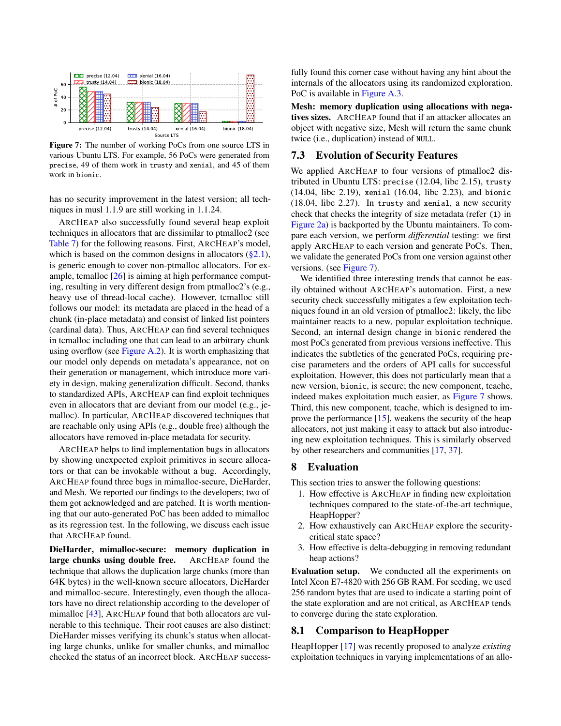<span id="page-10-2"></span>

Figure 7: The number of working PoCs from one source LTS in various Ubuntu LTS. For example, 56 PoCs were generated from precise, 49 of them work in trusty and xenial, and 45 of them work in bionic.

has no security improvement in the latest version; all techniques in musl 1.1.9 are still working in 1.1.24.

ARCHEAP also successfully found several heap exploit techniques in allocators that are dissimilar to ptmalloc2 (see [Table 7\)](#page-9-1) for the following reasons. First, ARCHEAP's model, which is based on the common designs in allocators  $(\S 2.1)$ , is generic enough to cover non-ptmalloc allocators. For example, tcmalloc [\[26\]](#page-14-18) is aiming at high performance computing, resulting in very different design from ptmalloc2's (e.g., heavy use of thread-local cache). However, tcmalloc still follows our model: its metadata are placed in the head of a chunk (in-place metadata) and consist of linked list pointers (cardinal data). Thus, ARCHEAP can find several techniques in tcmalloc including one that can lead to an arbitrary chunk using overflow (see [Figure A.2\)](#page-16-2). It is worth emphasizing that our model only depends on metadata's appearance, not on their generation or management, which introduce more variety in design, making generalization difficult. Second, thanks to standardized APIs, ARCHEAP can find exploit techniques even in allocators that are deviant from our model (e.g., jemalloc). In particular, ARCHEAP discovered techniques that are reachable only using APIs (e.g., double free) although the allocators have removed in-place metadata for security.

ARCHEAP helps to find implementation bugs in allocators by showing unexpected exploit primitives in secure allocators or that can be invokable without a bug. Accordingly, ARCHEAP found three bugs in mimalloc-secure, DieHarder, and Mesh. We reported our findings to the developers; two of them got acknowledged and are patched. It is worth mentioning that our auto-generated PoC has been added to mimalloc as its regression test. In the following, we discuss each issue that ARCHEAP found.

DieHarder, mimalloc-secure: memory duplication in large chunks using double free. ARCHEAP found the technique that allows the duplication large chunks (more than 64K bytes) in the well-known secure allocators, DieHarder and mimalloc-secure. Interestingly, even though the allocators have no direct relationship according to the developer of mimalloc [\[43\]](#page-14-19), ARCHEAP found that both allocators are vulnerable to this technique. Their root causes are also distinct: DieHarder misses verifying its chunk's status when allocating large chunks, unlike for smaller chunks, and mimalloc checked the status of an incorrect block. ARCHEAP successfully found this corner case without having any hint about the internals of the allocators using its randomized exploration. PoC is available in [Figure A.3.](#page-16-3)

Mesh: memory duplication using allocations with negatives sizes. ARCHEAP found that if an attacker allocates an object with negative size, Mesh will return the same chunk twice (i.e., duplication) instead of NULL.

## <span id="page-10-3"></span>7.3 Evolution of Security Features

We applied ARCHEAP to four versions of ptmalloc2 distributed in Ubuntu LTS: precise (12.04, libc 2.15), trusty (14.04, libc 2.19), xenial (16.04, libc 2.23), and bionic (18.04, libc 2.27). In trusty and xenial, a new security check that checks the integrity of size metadata (refer (1) in [Figure 2a\)](#page-3-0) is backported by the Ubuntu maintainers. To compare each version, we perform *differential* testing: we first apply ARCHEAP to each version and generate PoCs. Then, we validate the generated PoCs from one version against other versions. (see [Figure 7\)](#page-10-2).

We identified three interesting trends that cannot be easily obtained without ARCHEAP's automation. First, a new security check successfully mitigates a few exploitation techniques found in an old version of ptmalloc2: likely, the libc maintainer reacts to a new, popular exploitation technique. Second, an internal design change in bionic rendered the most PoCs generated from previous versions ineffective. This indicates the subtleties of the generated PoCs, requiring precise parameters and the orders of API calls for successful exploitation. However, this does not particularly mean that a new version, bionic, is secure; the new component, tcache, indeed makes exploitation much easier, as [Figure 7](#page-10-2) shows. Third, this new component, tcache, which is designed to improve the performance [\[15\]](#page-14-24), weakens the security of the heap allocators, not just making it easy to attack but also introducing new exploitation techniques. This is similarly observed by other researchers and communities [\[17,](#page-14-13) [37\]](#page-14-12).

#### <span id="page-10-0"></span>8 Evaluation

This section tries to answer the following questions:

- 1. How effective is ARCHEAP in finding new exploitation techniques compared to the state-of-the-art technique, HeapHopper?
- 2. How exhaustively can ARCHEAP explore the securitycritical state space?
- 3. How effective is delta-debugging in removing redundant heap actions?

Evaluation setup. We conducted all the experiments on Intel Xeon E7-4820 with 256 GB RAM. For seeding, we used 256 random bytes that are used to indicate a starting point of the state exploration and are not critical, as ARCHEAP tends to converge during the state exploration.

## <span id="page-10-1"></span>8.1 Comparison to HeapHopper

HeapHopper [\[17\]](#page-14-13) was recently proposed to analyze *existing* exploitation techniques in varying implementations of an allo-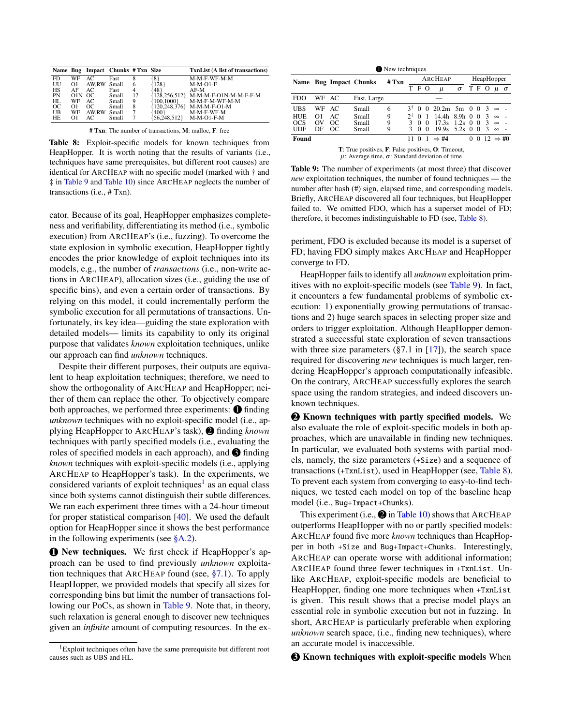<span id="page-11-2"></span>

|               |          |       | Name Bug Impact Chunks # Txn Size |              |             | <b>TxnList (A list of transactions)</b>                            |
|---------------|----------|-------|-----------------------------------|--------------|-------------|--------------------------------------------------------------------|
| FD.           | WF       | AC.   | Fast                              | 8            | 81          | M-M-F-WF-M-M                                                       |
| UU            | $\Omega$ | AW.RW | Small                             | <sub>t</sub> | 128         | $M-M-O1-F$                                                         |
| HS            | AF       | AC.   | Fast                              | 4            | 481         | $AF-M$                                                             |
| PN            | OIN OC   |       | Small                             | 12           |             | 128.256.512} M-M-M-F-O1N-M-M-F-F-M                                 |
| HL            | WF       | AC    | Small                             | 9            | (100, 1000) | M-M-F-M-WF-M-M                                                     |
| <sub>OC</sub> | $\Omega$ | OC.   | Small                             | 8            | 120.248.376 | $M-M-H-O1-M$                                                       |
| UB            | WF       | AW.RW | Small                             |              | 400}        | M-M-F-WF-M                                                         |
| HF.           | $\Omega$ | AC.   | Small                             |              | 56.248.512} | $M-M-O1-F-M$                                                       |
|               |          |       |                                   |              |             | <b># Txn:</b> The number of transactions, $M$ : malloc, $F$ : free |

Table 8: Exploit-specific models for known techniques from HeapHopper. It is worth noting that the results of variants (i.e., techniques have same prerequisites, but different root causes) are identical for ARCHEAP with no specific model (marked with † and ‡ in [Table 9](#page-11-0) and [Table 10\)](#page-12-1) since ARCHEAP neglects the number of transactions (i.e., # Txn).

cator. Because of its goal, HeapHopper emphasizes completeness and verifiability, differentiating its method (i.e., symbolic execution) from ARCHEAP's (i.e., fuzzing). To overcome the state explosion in symbolic execution, HeapHopper tightly encodes the prior knowledge of exploit techniques into its models, e.g., the number of *transactions* (i.e., non-write actions in ARCHEAP), allocation sizes (i.e., guiding the use of specific bins), and even a certain order of transactions. By relying on this model, it could incrementally perform the symbolic execution for all permutations of transactions. Unfortunately, its key idea—guiding the state exploration with detailed models— limits its capability to only its original purpose that validates *known* exploitation techniques, unlike our approach can find *unknown* techniques.

Despite their different purposes, their outputs are equivalent to heap exploitation techniques; therefore, we need to show the orthogonality of ARCHEAP and HeapHopper; neither of them can replace the other. To objectively compare both approaches, we performed three experiments:  $\bigcirc$  finding *unknown* techniques with no exploit-specific model (i.e., applying HeapHopper to ARCHEAP's task), 2 finding *known* techniques with partly specified models (i.e., evaluating the roles of specified models in each approach), and  $\bigcirc$  finding *known* techniques with exploit-specific models (i.e., applying ARCHEAP to HeapHopper's task). In the experiments, we considered variants of exploit techniques<sup>[1](#page-11-1)</sup> as an equal class since both systems cannot distinguish their subtle differences. We ran each experiment three times with a 24-hour timeout for proper statistical comparison [\[40\]](#page-14-30). We used the default option for HeapHopper since it shows the best performance in the following experiments (see  $\S$ A.2).

**1 New techniques.** We first check if HeapHopper's approach can be used to find previously *unknown* exploitation techniques that ARCHEAP found (see, [§7.1\)](#page-8-2). To apply HeapHopper, we provided models that specify all sizes for corresponding bins but limit the number of transactions following our PoCs, as shown in [Table 9.](#page-11-0) Note that, in theory, such relaxation is general enough to discover new techniques given an *infinite* amount of computing resources. In the ex-

<span id="page-11-0"></span>

|                                                                            | <b>O</b> New techniques |     |                        |       |       |                |                |                  |          |            |          |                               |              |  |  |  |
|----------------------------------------------------------------------------|-------------------------|-----|------------------------|-------|-------|----------------|----------------|------------------|----------|------------|----------|-------------------------------|--------------|--|--|--|
|                                                                            |                         |     | Name Bug Impact Chunks | # Txn |       |                |                | ARCHEAP          |          | HeapHopper |          |                               |              |  |  |  |
|                                                                            |                         |     |                        |       | T F O |                |                | $\mu$            | $\sigma$ |            | T F      | - 0                           | $\mu \sigma$ |  |  |  |
| <b>FDO</b>                                                                 | WF                      | AC. | Fast, Large            |       |       |                |                |                  |          |            |          |                               |              |  |  |  |
| <b>UBS</b>                                                                 | WF                      | AC  | Small                  | 6     | ٩ī    | $\Omega$       |                | 0, 20.2m, 5m, 0  |          |            | $\Omega$ | $\mathcal{R}$                 | $\infty$     |  |  |  |
| HUE                                                                        | $\Omega$                | AC  | Small                  | 9     | つき    | $\Omega$       | $\overline{1}$ | $14.4h$ 8.9h 0   |          |            | $\Omega$ | -3                            | $\infty$     |  |  |  |
| OCS                                                                        | OV                      | OC  | Small                  | 9     | 3     | $\Omega$       | $\Omega$       | 17.3s            | $1.2s$ 0 |            | $\Omega$ | 3                             | $\infty$     |  |  |  |
| <b>UDF</b>                                                                 | DF                      | OC  | Small                  | 9     |       | $\Omega$       | $\Omega$       | 19.9s            | $5.2s$ 0 |            | $\Omega$ | 3                             | $\infty$     |  |  |  |
| Found                                                                      |                         |     |                        |       | 11    | $\overline{0}$ | $\overline{1}$ | $\Rightarrow$ #4 |          | 0          |          | $0\ 12 \Rightarrow \text{#0}$ |              |  |  |  |
| <b>T</b> : True positives, <b>F</b> : False positives, <b>O</b> : Timeout, |                         |     |                        |       |       |                |                |                  |          |            |          |                               |              |  |  |  |

 $μ$ : Average time,  $σ$ : Standard deviation of time

Table 9: The number of experiments (at most three) that discover *new* exploitation techniques, the number of found techniques — the number after hash (#) sign, elapsed time, and corresponding models. Briefly, ARCHEAP discovered all four techniques, but HeapHopper failed to. We omitted FDO, which has a superset model of FD; therefore, it becomes indistinguishable to FD (see, [Table 8\)](#page-11-2).

periment, FDO is excluded because its model is a superset of FD; having FDO simply makes ARCHEAP and HeapHopper converge to FD.

HeapHopper fails to identify all *unknown* exploitation primitives with no exploit-specific models (see [Table 9\)](#page-11-0). In fact, it encounters a few fundamental problems of symbolic execution: 1) exponentially growing permutations of transactions and 2) huge search spaces in selecting proper size and orders to trigger exploitation. Although HeapHopper demonstrated a successful state exploration of seven transactions with three size parameters  $(\S7.1 \text{ in } [17])$  $(\S7.1 \text{ in } [17])$  $(\S7.1 \text{ in } [17])$ , the search space required for discovering *new* techniques is much larger, rendering HeapHopper's approach computationally infeasible. On the contrary, ARCHEAP successfully explores the search space using the random strategies, and indeed discovers unknown techniques.

**2** Known techniques with partly specified models. We also evaluate the role of exploit-specific models in both approaches, which are unavailable in finding new techniques. In particular, we evaluated both systems with partial models, namely, the size parameters (+Size) and a sequence of transactions (+TxnList), used in HeapHopper (see, [Table 8\)](#page-11-2). To prevent each system from converging to easy-to-find techniques, we tested each model on top of the baseline heap model (i.e., Bug+Impact+Chunks).

This experiment (i.e.,  $\bigcirc$  in [Table 10\)](#page-12-1) shows that ARCHEAP outperforms HeapHopper with no or partly specified models: ARCHEAP found five more *known* techniques than HeapHopper in both +Size and Bug+Impact+Chunks. Interestingly, ARCHEAP can operate worse with additional information; ARCHEAP found three fewer techniques in +TxnList. Unlike ARCHEAP, exploit-specific models are beneficial to HeapHopper, finding one more techniques when +TxnList is given. This result shows that a precise model plays an essential role in symbolic execution but not in fuzzing. In short, ARCHEAP is particularly preferable when exploring *unknown* search space, (i.e., finding new techniques), where an accurate model is inaccessible.

**3** Known techniques with exploit-specific models When

<span id="page-11-1"></span><sup>&</sup>lt;sup>1</sup>Exploit techniques often have the same prerequisite but different root causes such as UBS and HL.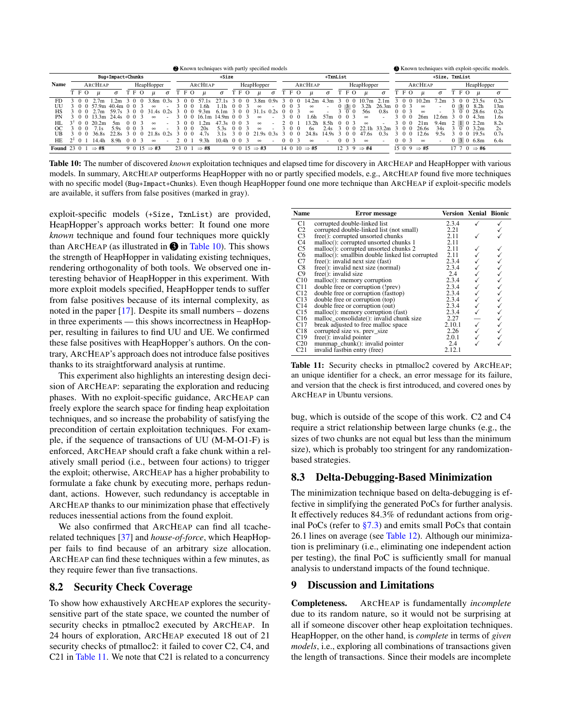<span id="page-12-1"></span>

| Known techniques with partly specified models |  |                         |                   |                   |             |  |                       |          |      | Known techniques with exploit-specific models. |                  |          |                |         |                            |                          |                   |              |                              |          |          |                          |                   |                   |          |                        |                  |                          |    |                      |                                |          |
|-----------------------------------------------|--|-------------------------|-------------------|-------------------|-------------|--|-----------------------|----------|------|------------------------------------------------|------------------|----------|----------------|---------|----------------------------|--------------------------|-------------------|--------------|------------------------------|----------|----------|--------------------------|-------------------|-------------------|----------|------------------------|------------------|--------------------------|----|----------------------|--------------------------------|----------|
|                                               |  |                         |                   | Bug+Impact+Chunks |             |  |                       |          |      |                                                |                  | $+Size$  |                |         |                            |                          | $+TxnList$        |              |                              |          |          |                          |                   |                   |          | +Size, TxnList         |                  |                          |    |                      |                                |          |
| <b>Name</b>                                   |  |                         | ARCHEAP           |                   |             |  | HeapHopper            |          |      |                                                | ARCHEAP          |          |                |         | HeapHopper                 |                          |                   |              | ARCHEAP                      |          |          |                          | HeapHopper        |                   |          |                        | ARCHEAP          |                          |    |                      | HeapHopper                     |          |
|                                               |  | T F O                   |                   | $\sigma$          | T F O       |  | u                     | $\sigma$ | ТF   | $\circ$                                        | $\mu$            | $\sigma$ | ТF             | $\circ$ | u                          | $\sigma$                 |                   | ΓFΟ          | $\mathfrak u$                | $\sigma$ |          | T F O                    | $\mathfrak u$     | $\sigma$          |          | TFO                    | $\mu$            | $\sigma$                 | TЕ | - 0                  |                                | $\sigma$ |
| FD                                            |  |                         | 2.7 <sub>m</sub>  | 1.2m              | 3 O         |  | 3.8 <sub>m</sub>      | 0.3s     |      | 0                                              |                  | 1s.      | - 0            | - ( )   | 3.8 <sub>m</sub>           | 0.9s                     |                   |              | 14.2m                        | .3m      |          | $\bigcirc$               | 10.7 <sub>m</sub> | 2.1 <sub>m</sub>  |          | $\theta$<br>$\theta$   | 10.2m            | `.2m                     |    |                      | $0 \t0 \t23.5s$                | 0.2s     |
| UП                                            |  |                         | 57 9m             | 40.4 <sub>m</sub> | 003         |  | $\infty$              |          |      | $^{\circ}$                                     | .6h              | .1h      | $\Omega$       |         | $\infty$                   |                          | - 0<br>$^{\circ}$ |              | $\infty$                     |          | $^{(1)}$ | 3 O                      | 3.2h              | 26.3m             | $\theta$ | - 03                   | $\infty$         | $\overline{\phantom{a}}$ |    | 030                  | 8.2h                           | 13m      |
| HS                                            |  |                         |                   | 59.               |             |  |                       |          |      | $^{\circ}$                                     | .3m<br>Q         | 6.1m     |                |         |                            |                          |                   |              | $\infty$                     |          |          |                          | 56s               | 0.8s              |          |                        | $\infty$         |                          |    | $\Omega$             | 28.6s                          | 0.2s     |
| PN                                            |  | - 0<br>$\left( \right)$ | $3 \, 3m$         | 24.4s             | 003         |  | $\infty$              |          | 30   |                                                | 16.1m            | 14.9m    | $\Omega$       |         | $\infty$                   |                          | 30                | - ( )        | 1.6h                         | 57m      |          | $0 \t 0 \t 3$            | $\infty$          |                   |          | $^{\circ}$             | 26m              | 2.6m                     |    | $\theta$<br>$\Omega$ | 4.3m                           | 1.6s     |
| HІ                                            |  | $3^{+}$ 0 0             | 20.2 <sub>m</sub> | 5m                | $0 \t0 \t3$ |  | $\infty$              |          | 3 O  |                                                | 2m               | 47.3s    | 00             |         | $\infty$                   |                          |                   |              | 32h                          | 8 5h     |          | 0 0 3                    | $\infty$          |                   |          | 3 0 0                  | 21m              | 9.4 <sub>m</sub>         |    | $\Box$               | 2.2 <sub>m</sub>               | 8.2s     |
| OC                                            |  | $^{\circ}$<br>$\eta$    | $^{\prime}$ . 1 s | 5.9s              | $0 \t0 \t3$ |  | $\infty$              |          |      | $\Omega$                                       | 20s              | 5.3s     | 0 <sub>0</sub> |         | $\infty$                   |                          | $\Omega$          | - ( )        | 6s                           | 4s       |          | $\Omega$<br>- 0          | -1 h              | 33.2 <sub>m</sub> |          | $^{\circ}$<br>$\theta$ | 26.6s            | 34s                      |    | $^{\circ}$ 0         | 3.2m                           | 2s       |
| UB                                            |  |                         | 36.8s             |                   | 0           |  | $\times1.8s$ $\times$ |          |      | $\Omega$                                       | 47s              |          |                |         | Qc                         |                          |                   |              | 24.8s                        | 14.9c    |          | $\theta$<br>$\mathbf{0}$ | 47.6s             | 0.3s              |          | $\mathbf{0}$<br>0      | 12.6s            | 9.5s                     |    | - 0                  | 19.5s                          | 0.7s     |
| <b>HE</b>                                     |  | $2^{3}$ 0               | 14.4h             | 89h               | 0 0 3       |  | $\infty$              |          | 20   |                                                | 9.3 <sub>h</sub> | 10.4h    | 00             |         | $\infty$                   | $\overline{\phantom{a}}$ | 0 <sub>0</sub>    | $\mathbf{R}$ | $\infty$                     |          |          | $0 \t0 \t3$              | $\infty$          |                   |          | $0 \t 0 \t 3$          | $\infty$         | $\blacksquare$           |    |                      | $0 \quad 3 \quad 0 \quad 6.8m$ | 6.4s     |
| <b>Found</b> 23 0                             |  |                         | $\Rightarrow$ #8  |                   | 9 0 15      |  | $\Rightarrow$ #3      |          | 23 0 |                                                | $\Rightarrow$ #8 |          | 90             |         | $15 \Rightarrow \text{#3}$ |                          |                   |              | $14 \t0 \t10 \Rightarrow #5$ |          | 12.3     | - 9                      | $\Rightarrow$ #4  |                   |          | 1509                   | $\Rightarrow$ #5 |                          | 17 |                      | $0 \Rightarrow #6$             |          |

Table 10: The number of discovered *known* exploitation techniques and elapsed time for discovery in ARCHEAP and HeapHopper with various models. In summary, ARCHEAP outperforms HeapHopper with no or partly specified models, e.g., ARCHEAP found five more techniques with no specific model (Bug+Impact+Chunks). Even though HeapHopper found one more technique than ARCHEAP if exploit-specific models are available, it suffers from false positives (marked in gray).

exploit-specific models (+Size, TxnList) are provided, HeapHopper's approach works better: It found one more *known* technique and found four techniques more quickly than ARCHEAP (as illustrated in  $\bigcirc$  in [Table 10\)](#page-12-1). This shows the strength of HeapHopper in validating existing techniques, rendering orthogonality of both tools. We observed one interesting behavior of HeapHopper in this experiment. With more exploit models specified, HeapHopper tends to suffer from false positives because of its internal complexity, as noted in the paper  $[17]$ . Despite its small numbers – dozens in three experiments — this shows incorrectness in HeapHopper, resulting in failures to find UU and UE. We confirmed these false positives with HeapHopper's authors. On the contrary, ARCHEAP's approach does not introduce false positives thanks to its straightforward analysis at runtime.

This experiment also highlights an interesting design decision of ARCHEAP: separating the exploration and reducing phases. With no exploit-specific guidance, ARCHEAP can freely explore the search space for finding heap exploitation techniques, and so increase the probability of satisfying the precondition of certain exploitation techniques. For example, if the sequence of transactions of UU (M-M-O1-F) is enforced, ARCHEAP should craft a fake chunk within a relatively small period (i.e., between four actions) to trigger the exploit; otherwise, ARCHEAP has a higher probability to formulate a fake chunk by executing more, perhaps redundant, actions. However, such redundancy is acceptable in ARCHEAP thanks to our minimization phase that effectively reduces inessential actions from the found exploit.

We also confirmed that ARCHEAP can find all tcacherelated techniques [\[37\]](#page-14-12) and *house-of-force*, which HeapHopper fails to find because of an arbitrary size allocation. ARCHEAP can find these techniques within a few minutes, as they require fewer than five transactions.

## 8.2 Security Check Coverage

To show how exhaustively ARCHEAP explores the securitysensitive part of the state space, we counted the number of security checks in ptmalloc2 executed by ARCHEAP. In 24 hours of exploration, ARCHEAP executed 18 out of 21 security checks of ptmalloc2: it failed to cover C2, C4, and C21 in [Table 11.](#page-12-2) We note that C21 is related to a concurrency

<span id="page-12-2"></span>

| Name                          | Error message                                   | <b>Version Xenial Bionic</b> |  |
|-------------------------------|-------------------------------------------------|------------------------------|--|
| C1                            | corrupted double-linked list                    | 2.3.4                        |  |
|                               | corrupted double-linked list (not small)        | 2.21                         |  |
|                               | $free()$ : corrupted unsorted chunks            | 2.11                         |  |
| C2<br>C3<br>C4                | malloc(): corrupted unsorted chunks 1           | 2.11                         |  |
| C5                            | malloc(): corrupted unsorted chunks 2           | 2.11                         |  |
| C <sub>6</sub>                | malloc(): smallbin double linked list corrupted | 2.11                         |  |
| C7                            | free(): invalid next size (fast)                | 2.3.4                        |  |
|                               | free(): invalid next size (normal)              | 2.3.4                        |  |
| $\frac{\text{C8}}{\text{C9}}$ | $free()$ : invalid size                         | 2.4                          |  |
| C10                           | malloc(): memory corruption                     | 2.3.4                        |  |
| C11                           | double free or corruption (!prev)               | 2.3.4                        |  |
| C12                           | double free or corruption (fasttop)             | 2.3.4                        |  |
| C13                           | double free or corruption (top)                 | 2.3.4                        |  |
| C14                           | double free or corruption (out)                 | 2.3.4                        |  |
| C15                           | malloc(): memory corruption (fast)              | 2.3.4                        |  |
| C16                           | malloc_consolidate(): invalid chunk size        | 2.27                         |  |
| C17                           | break adjusted to free malloc space             | 2.10.1                       |  |
| C18                           | corrupted size vs. prev_size                    | 2.26                         |  |
| C19                           | $free()$ : invalid pointer                      | 2.0.1                        |  |
| C <sub>20</sub>               | munmap chunk(): invalid pointer                 | 2.4                          |  |
| C <sub>21</sub>               | invalid fastbin entry (free)                    | 2.12.1                       |  |

Table 11: Security checks in ptmalloc2 covered by ARCHEAP; an unique identifier for a check, an error message for its failure, and version that the check is first introduced, and covered ones by ARCHEAP in Ubuntu versions.

bug, which is outside of the scope of this work. C2 and C4 require a strict relationship between large chunks (e.g., the sizes of two chunks are not equal but less than the minimum size), which is probably too stringent for any randomizationbased strategies.

## <span id="page-12-0"></span>8.3 Delta-Debugging-Based Minimization

The minimization technique based on delta-debugging is effective in simplifying the generated PoCs for further analysis. It effectively reduces 84.3% of redundant actions from original PoCs (refer to  $\S$ 7.3) and emits small PoCs that contain 26.1 lines on average (see [Table 12\)](#page-13-0). Although our minimization is preliminary (i.e., eliminating one independent action per testing), the final PoC is sufficiently small for manual analysis to understand impacts of the found technique.

## 9 Discussion and Limitations

Completeness. ARCHEAP is fundamentally *incomplete* due to its random nature, so it would not be surprising at all if someone discover other heap exploitation techniques. HeapHopper, on the other hand, is *complete* in terms of *given models*, i.e., exploring all combinations of transactions given the length of transactions. Since their models are incomplete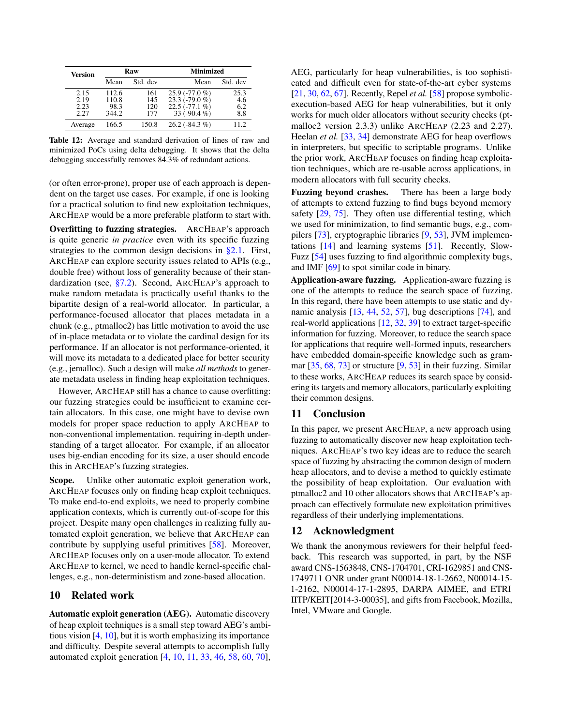<span id="page-13-0"></span>

| <b>Version</b>               |                                 | Raw                      | Minimized                                                                 |                           |  |  |  |
|------------------------------|---------------------------------|--------------------------|---------------------------------------------------------------------------|---------------------------|--|--|--|
|                              | Mean                            | Std. dev                 | Mean                                                                      | Std. dev                  |  |  |  |
| 2.15<br>2.19<br>2.23<br>2.27 | 112.6<br>110.8<br>98.3<br>344.2 | 161<br>145<br>120<br>177 | $25.9(-77.0\%)$<br>$23.3(-79.0\%)$<br>$22.5(-77.1\%)$<br>33 ( $-90.4\%$ ) | 25.3<br>4.6<br>6.2<br>8.8 |  |  |  |
| Average                      | 166.5                           | 150.8                    | $26.2(-84.3%)$                                                            | 11.2.                     |  |  |  |

Table 12: Average and standard derivation of lines of raw and minimized PoCs using delta debugging. It shows that the delta debugging successfully removes 84.3% of redundant actions.

(or often error-prone), proper use of each approach is dependent on the target use cases. For example, if one is looking for a practical solution to find new exploitation techniques, ARCHEAP would be a more preferable platform to start with.

Overfitting to fuzzing strategies. ARCHEAP's approach is quite generic *in practice* even with its specific fuzzing strategies to the common design decisions in  $\S 2.1$ . First, ARCHEAP can explore security issues related to APIs (e.g., double free) without loss of generality because of their standardization (see, [§7.2\)](#page-9-2). Second, ARCHEAP's approach to make random metadata is practically useful thanks to the bipartite design of a real-world allocator. In particular, a performance-focused allocator that places metadata in a chunk (e.g., ptmalloc2) has little motivation to avoid the use of in-place metadata or to violate the cardinal design for its performance. If an allocator is not performance-oriented, it will move its metadata to a dedicated place for better security (e.g., jemalloc). Such a design will make *all methods* to generate metadata useless in finding heap exploitation techniques.

However, ARCHEAP still has a chance to cause overfitting: our fuzzing strategies could be insufficient to examine certain allocators. In this case, one might have to devise own models for proper space reduction to apply ARCHEAP to non-conventional implementation. requiring in-depth understanding of a target allocator. For example, if an allocator uses big-endian encoding for its size, a user should encode this in ARCHEAP's fuzzing strategies.

Scope. Unlike other automatic exploit generation work, ARCHEAP focuses only on finding heap exploit techniques. To make end-to-end exploits, we need to properly combine application contexts, which is currently out-of-scope for this project. Despite many open challenges in realizing fully automated exploit generation, we believe that ARCHEAP can contribute by supplying useful primitives [\[58\]](#page-15-17). Moreover, ARCHEAP focuses only on a user-mode allocator. To extend ARCHEAP to kernel, we need to handle kernel-specific challenges, e.g., non-deterministism and zone-based allocation.

## 10 Related work

Automatic exploit generation (AEG). Automatic discovery of heap exploit techniques is a small step toward AEG's ambitious vision [\[4,](#page-14-27) [10\]](#page-14-31), but it is worth emphasizing its importance and difficulty. Despite several attempts to accomplish fully automated exploit generation [\[4,](#page-14-27) [10,](#page-14-31) [11,](#page-14-28) [33,](#page-14-26) [46,](#page-15-19) [58,](#page-15-17) [60,](#page-15-18) [70\]](#page-15-20), AEG, particularly for heap vulnerabilities, is too sophisticated and difficult even for state-of-the-art cyber systems [\[21,](#page-14-32) [30,](#page-14-33) [62,](#page-15-21) [67\]](#page-15-22). Recently, Repel *et al.* [\[58\]](#page-15-17) propose symbolicexecution-based AEG for heap vulnerabilities, but it only works for much older allocators without security checks (ptmalloc2 version 2.3.3) unlike ARCHEAP (2.23 and 2.27). Heelan *et al.* [\[33,](#page-14-26) [34\]](#page-14-34) demonstrate AEG for heap overflows in interpreters, but specific to scriptable programs. Unlike the prior work, ARCHEAP focuses on finding heap exploitation techniques, which are re-usable across applications, in modern allocators with full security checks.

Fuzzing beyond crashes. There has been a large body of attempts to extend fuzzing to find bugs beyond memory safety [\[29,](#page-14-14) [75\]](#page-15-12). They often use differential testing, which we used for minimization, to find semantic bugs, e.g., compilers [\[73\]](#page-15-23), cryptographic libraries [\[9,](#page-14-35) [53\]](#page-15-24), JVM implementations [\[14\]](#page-14-36) and learning systems [\[51\]](#page-15-25). Recently, Slow-Fuzz [\[54\]](#page-15-26) uses fuzzing to find algorithmic complexity bugs, and IMF [\[69\]](#page-15-27) to spot similar code in binary.

Application-aware fuzzing. Application-aware fuzzing is one of the attempts to reduce the search space of fuzzing. In this regard, there have been attempts to use static and dynamic analysis [\[13,](#page-14-37) [44,](#page-14-38) [52,](#page-15-28) [57\]](#page-15-29), bug descriptions [\[74\]](#page-15-30), and real-world applications [\[12,](#page-14-39) [32,](#page-14-40) [39\]](#page-14-41) to extract target-specific information for fuzzing. Moreover, to reduce the search space for applications that require well-formed inputs, researchers have embedded domain-specific knowledge such as grammar  $[35, 68, 73]$  $[35, 68, 73]$  $[35, 68, 73]$  $[35, 68, 73]$  $[35, 68, 73]$  or structure  $[9, 53]$  $[9, 53]$  $[9, 53]$  in their fuzzing. Similar to these works, ARCHEAP reduces its search space by considering its targets and memory allocators, particularly exploiting their common designs.

## 11 Conclusion

In this paper, we present ARCHEAP, a new approach using fuzzing to automatically discover new heap exploitation techniques. ARCHEAP's two key ideas are to reduce the search space of fuzzing by abstracting the common design of modern heap allocators, and to devise a method to quickly estimate the possibility of heap exploitation. Our evaluation with ptmalloc2 and 10 other allocators shows that ARCHEAP's approach can effectively formulate new exploitation primitives regardless of their underlying implementations.

#### 12 Acknowledgment

We thank the anonymous reviewers for their helpful feedback. This research was supported, in part, by the NSF award CNS-1563848, CNS-1704701, CRI-1629851 and CNS-1749711 ONR under grant N00014-18-1-2662, N00014-15- 1-2162, N00014-17-1-2895, DARPA AIMEE, and ETRI IITP/KEIT[2014-3-00035], and gifts from Facebook, Mozilla, Intel, VMware and Google.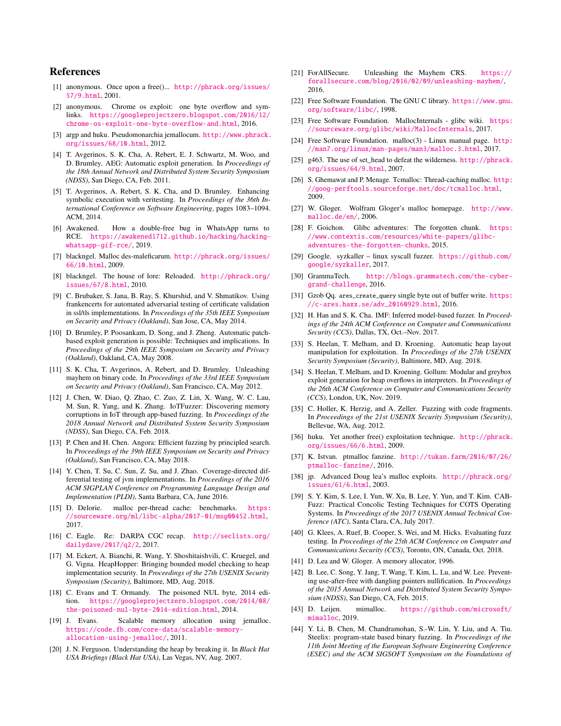#### References

- <span id="page-14-3"></span>[1] anonymous. Once upon a free()... [http://phrack.org/issues/](http://phrack.org/issues/57/9.html) [57/9.html](http://phrack.org/issues/57/9.html), 2001.
- <span id="page-14-1"></span>[2] anonymous. Chrome os exploit: one byte overflow and symlinks. [https://googleprojectzero.blogspot.com/2016/12/](https://googleprojectzero.blogspot.com/2016/12/chrome-os-exploit-one-byte-overflow-and.html) [chrome-os-exploit-one-byte-overflow-and.html](https://googleprojectzero.blogspot.com/2016/12/chrome-os-exploit-one-byte-overflow-and.html), 2016.
- <span id="page-14-23"></span>[3] argp and huku. Pseudomonarchia jemallocum. [http://www.phrack.](http://www.phrack.org/issues/68/10.html) [org/issues/68/10.html](http://www.phrack.org/issues/68/10.html), 2012.
- <span id="page-14-27"></span>[4] T. Avgerinos, S. K. Cha, A. Rebert, E. J. Schwartz, M. Woo, and D. Brumley. AEG: Automatic exploit generation. In *Proceedings of the 18th Annual Network and Distributed System Security Symposium (NDSS)*, San Diego, CA, Feb. 2011.
- <span id="page-14-43"></span>[5] T. Avgerinos, A. Rebert, S. K. Cha, and D. Brumley. Enhancing symbolic execution with veritesting. In *Proceedings of the 36th International Conference on Software Engineering*, pages 1083–1094. ACM, 2014.
- <span id="page-14-2"></span>[6] Awakened. How a double-free bug in WhatsApp turns to RCE. [https://awakened1712.github.io/hacking/hacking](https://awakened1712.github.io/hacking/hacking-whatsapp-gif-rce/)[whatsapp-gif-rce/](https://awakened1712.github.io/hacking/hacking-whatsapp-gif-rce/), 2019.
- <span id="page-14-8"></span>[7] blackngel. Malloc des-maleficarum. [http://phrack.org/issues/](http://phrack.org/issues/66/10.html) [66/10.html](http://phrack.org/issues/66/10.html), 2009.
- <span id="page-14-9"></span>[8] blackngel. The house of lore: Reloaded. [http://phrack.org/](http://phrack.org/issues/67/8.html) [issues/67/8.html](http://phrack.org/issues/67/8.html), 2010.
- <span id="page-14-35"></span>[9] C. Brubaker, S. Jana, B. Ray, S. Khurshid, and V. Shmatikov. Using frankencerts for automated adversarial testing of certificate validation in ssl/tls implementations. In *Proceedings of the 35th IEEE Symposium on Security and Privacy (Oakland)*, San Jose, CA, May 2014.
- <span id="page-14-31"></span>[10] D. Brumley, P. Poosankam, D. Song, and J. Zheng. Automatic patchbased exploit generation is possible: Techniques and implications. In *Proceedings of the 29th IEEE Symposium on Security and Privacy (Oakland)*, Oakland, CA, May 2008.
- <span id="page-14-28"></span>[11] S. K. Cha, T. Avgerinos, A. Rebert, and D. Brumley. Unleashing mayhem on binary code. In *Proceedings of the 33rd IEEE Symposium on Security and Privacy (Oakland)*, San Francisco, CA, May 2012.
- <span id="page-14-39"></span>[12] J. Chen, W. Diao, Q. Zhao, C. Zuo, Z. Lin, X. Wang, W. C. Lau, M. Sun, R. Yang, and K. Zhang. IoTFuzzer: Discovering memory corruptions in IoT through app-based fuzzing. In *Proceedings of the 2018 Annual Network and Distributed System Security Symposium (NDSS)*, San Diego, CA, Feb. 2018.
- <span id="page-14-37"></span>[13] P. Chen and H. Chen. Angora: Efficient fuzzing by principled search. In *Proceedings of the 39th IEEE Symposium on Security and Privacy (Oakland)*, San Francisco, CA, May 2018.
- <span id="page-14-36"></span>[14] Y. Chen, T. Su, C. Sun, Z. Su, and J. Zhao. Coverage-directed differential testing of jvm implementations. In *Proceedings of the 2016 ACM SIGPLAN Conference on Programming Language Design and Implementation (PLDI)*, Santa Barbara, CA, June 2016.
- <span id="page-14-24"></span>[15] D. Delorie. malloc per-thread cache: benchmarks. [https:](https://sourceware.org/ml/libc-alpha/2017-01/msg00452.html) [//sourceware.org/ml/libc-alpha/2017-01/msg00452.html](https://sourceware.org/ml/libc-alpha/2017-01/msg00452.html), 2017.
- <span id="page-14-29"></span>[16] C. Eagle. Re: DARPA CGC recap. [http://seclists.org/](http://seclists.org/dailydave/2017/q2/2) [dailydave/2017/q2/2](http://seclists.org/dailydave/2017/q2/2), 2017.
- <span id="page-14-13"></span>[17] M. Eckert, A. Bianchi, R. Wang, Y. Shoshitaishvili, C. Kruegel, and G. Vigna. HeapHopper: Bringing bounded model checking to heap implementation security. In *Proceedings of the 27th USENIX Security Symposium (Security)*, Baltimore, MD, Aug. 2018.
- <span id="page-14-10"></span>[18] C. Evans and T. Ormandy. The poisoned NUL byte, 2014 edition. [https://googleprojectzero.blogspot.com/2014/08/](https://googleprojectzero.blogspot.com/2014/08/the-poisoned-nul-byte-2014-edition.html) [the-poisoned-nul-byte-2014-edition.html](https://googleprojectzero.blogspot.com/2014/08/the-poisoned-nul-byte-2014-edition.html), 2014.
- <span id="page-14-17"></span>[19] J. Evans. Scalable memory allocation using jemalloc. [https://code.fb.com/core-data/scalable-memory](https://code.fb.com/core-data/scalable-memory-allocation-using-jemalloc/)[allocation-using-jemalloc/](https://code.fb.com/core-data/scalable-memory-allocation-using-jemalloc/), 2011.
- <span id="page-14-6"></span>[20] J. N. Ferguson. Understanding the heap by breaking it. In *Black Hat USA Briefings (Black Hat USA)*, Las Vegas, NV, Aug. 2007.
- <span id="page-14-32"></span>[21] ForAllSecure. Unleashing the Mayhem CRS. [https://](https://forallsecure.com/blog/2016/02/09/unleashing-mayhem/) [forallsecure.com/blog/2016/02/09/unleashing-mayhem/](https://forallsecure.com/blog/2016/02/09/unleashing-mayhem/), 2016.
- <span id="page-14-21"></span>[22] Free Software Foundation. The GNU C library. [https://www.gnu.](https://www.gnu.org/software/libc/) [org/software/libc/](https://www.gnu.org/software/libc/), 1998.
- <span id="page-14-20"></span>[23] Free Software Foundation. MallocInternals - glibc wiki. [https:](https://sourceware.org/glibc/wiki/MallocInternals) [//sourceware.org/glibc/wiki/MallocInternals](https://sourceware.org/glibc/wiki/MallocInternals), 2017.
- <span id="page-14-16"></span>[24] Free Software Foundation. malloc(3) - Linux manual page. [http:](http://man7.org/linux/man-pages/man3/malloc.3.html) [//man7.org/linux/man-pages/man3/malloc.3.html](http://man7.org/linux/man-pages/man3/malloc.3.html), 2017.
- <span id="page-14-5"></span>[25] g463. The use of set\_head to defeat the wilderness. [http://phrack.](http://phrack.org/issues/64/9.html) [org/issues/64/9.html](http://phrack.org/issues/64/9.html), 2007.
- <span id="page-14-18"></span>[26] S. Ghemawat and P. Menage. Tcmalloc: Thread-caching malloc. [http:](http://goog-perftools.sourceforge.net/doc/tcmalloc.html) [//goog-perftools.sourceforge.net/doc/tcmalloc.html](http://goog-perftools.sourceforge.net/doc/tcmalloc.html), 2009.
- <span id="page-14-22"></span>[27] W. Gloger. Wolfram Gloger's malloc homepage. [http://www.](http://www.malloc.de/en/) [malloc.de/en/](http://www.malloc.de/en/), 2006.
- <span id="page-14-11"></span>[28] F. Goichon. Glibc adventures: The forgotten chunk. [https:](https://www.contextis.com/resources/white-papers/glibc-adventures-the-forgotten-chunks) [//www.contextis.com/resources/white-papers/glibc](https://www.contextis.com/resources/white-papers/glibc-adventures-the-forgotten-chunks)[adventures-the-forgotten-chunks](https://www.contextis.com/resources/white-papers/glibc-adventures-the-forgotten-chunks), 2015.
- <span id="page-14-14"></span>[29] Google. syzkaller – linux syscall fuzzer. [https://github.com/](https://github.com/google/syzkaller) [google/syzkaller](https://github.com/google/syzkaller), 2017.
- <span id="page-14-33"></span>[30] GrammaTech. [http://blogs.grammatech.com/the-cyber](http://blogs.grammatech.com/the-cyber-grand-challenge)[grand-challenge](http://blogs.grammatech.com/the-cyber-grand-challenge), 2016.
- <span id="page-14-25"></span>[31] Gzob Qq. ares\_create\_query single byte out of buffer write. [https:](https://c-ares.haxx.se/adv_20160929.html) [//c-ares.haxx.se/adv\\_20160929.html](https://c-ares.haxx.se/adv_20160929.html), 2016.
- <span id="page-14-40"></span>[32] H. Han and S. K. Cha. IMF: Inferred model-based fuzzer. In *Proceedings of the 24th ACM Conference on Computer and Communications Security (CCS)*, Dallas, TX, Oct.–Nov. 2017.
- <span id="page-14-26"></span>[33] S. Heelan, T. Melham, and D. Kroening. Automatic heap layout manipulation for exploitation. In *Proceedings of the 27th USENIX Security Symposium (Security)*, Baltimore, MD, Aug. 2018.
- <span id="page-14-34"></span>[34] S. Heelan, T. Melham, and D. Kroening. Gollum: Modular and greybox exploit generation for heap overflows in interpreters. In *Proceedings of the 26th ACM Conference on Computer and Communications Security (CCS)*, London, UK, Nov. 2019.
- <span id="page-14-42"></span>[35] C. Holler, K. Herzig, and A. Zeller. Fuzzing with code fragments. In *Proceedings of the 21st USENIX Security Symposium (Security)*, Bellevue, WA, Aug. 2012.
- <span id="page-14-7"></span>[36] huku. Yet another free() exploitation technique. [http://phrack.](http://phrack.org/issues/66/6.html) [org/issues/66/6.html](http://phrack.org/issues/66/6.html), 2009.
- <span id="page-14-12"></span>[37] K. Istvan. ptmalloc fanzine. [http://tukan.farm/2016/07/26/](http://tukan.farm/2016/07/26/ptmalloc-fanzine/) [ptmalloc-fanzine/](http://tukan.farm/2016/07/26/ptmalloc-fanzine/), 2016.
- <span id="page-14-4"></span>[38] jp. Advanced Doug lea's malloc exploits. [http://phrack.org/](http://phrack.org/issues/61/6.html) [issues/61/6.html](http://phrack.org/issues/61/6.html), 2003.
- <span id="page-14-41"></span>[39] S. Y. Kim, S. Lee, I. Yun, W. Xu, B. Lee, Y. Yun, and T. Kim. CAB-Fuzz: Practical Concolic Testing Techniques for COTS Operating Systems. In *Proceedings of the 2017 USENIX Annual Technical Conference (ATC)*, Santa Clara, CA, July 2017.
- <span id="page-14-30"></span>[40] G. Klees, A. Ruef, B. Cooper, S. Wei, and M. Hicks. Evaluating fuzz testing. In *Proceedings of the 25th ACM Conference on Computer and Communications Security (CCS)*, Toronto, ON, Canada, Oct. 2018.
- <span id="page-14-15"></span>[41] D. Lea and W. Gloger. A memory allocator, 1996.
- <span id="page-14-0"></span>[42] B. Lee, C. Song, Y. Jang, T. Wang, T. Kim, L. Lu, and W. Lee. Preventing use-after-free with dangling pointers nullification. In *Proceedings of the 2015 Annual Network and Distributed System Security Symposium (NDSS)*, San Diego, CA, Feb. 2015.
- <span id="page-14-19"></span>[43] D. Leijen. mimalloc. [https://github.com/microsoft/](https://github.com/microsoft/mimalloc) [mimalloc](https://github.com/microsoft/mimalloc), 2019.
- <span id="page-14-38"></span>[44] Y. Li, B. Chen, M. Chandramohan, S.-W. Lin, Y. Liu, and A. Tiu. Steelix: program-state based binary fuzzing. In *Proceedings of the 11th Joint Meeting of the European Software Engineering Conference (ESEC) and the ACM SIGSOFT Symposium on the Foundations of*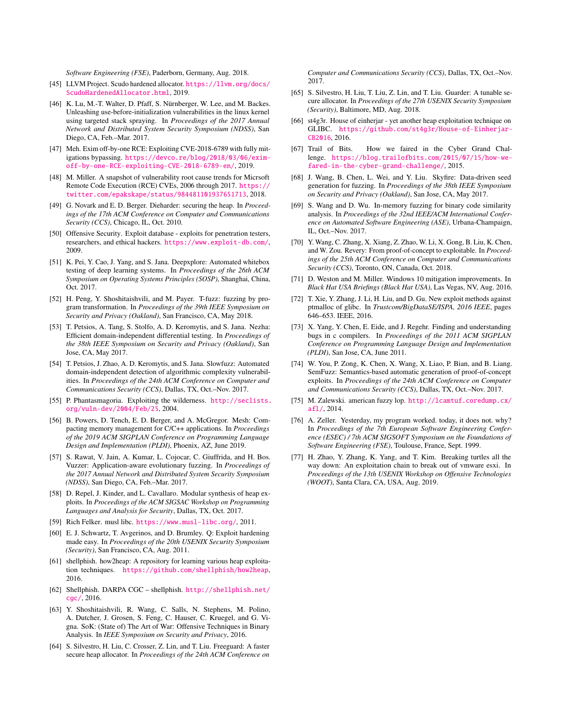*Software Engineering (FSE)*, Paderborn, Germany, Aug. 2018.

- <span id="page-15-15"></span>[45] LLVM Project. Scudo hardened allocator. [https://llvm.org/docs/](https://llvm.org/docs/ScudoHardenedAllocator.html) [ScudoHardenedAllocator.html](https://llvm.org/docs/ScudoHardenedAllocator.html), 2019.
- <span id="page-15-19"></span>[46] K. Lu, M.-T. Walter, D. Pfaff, S. Nürnberger, W. Lee, and M. Backes. Unleashing use-before-initialization vulnerabilities in the linux kernel using targeted stack spraying. In *Proceedings of the 2017 Annual Network and Distributed System Security Symposium (NDSS)*, San Diego, CA, Feb.–Mar. 2017.
- <span id="page-15-6"></span>[47] Meh. Exim off-by-one RCE: Exploiting CVE-2018-6789 with fully mitigations bypassing. [https://devco.re/blog/2018/03/06/exim](https://devco.re/blog/2018/03/06/exim-off-by-one-RCE-exploiting-CVE-2018-6789-en/)[off-by-one-RCE-exploiting-CVE-2018-6789-en/](https://devco.re/blog/2018/03/06/exim-off-by-one-RCE-exploiting-CVE-2018-6789-en/), 2019.
- <span id="page-15-3"></span>[48] M. Miller. A snapshot of vulnerability root cause trends for Micrsoft Remote Code Execution (RCE) CVEs, 2006 through 2017. [https://](https://twitter.com/epakskape/status/984481101937651713) [twitter.com/epakskape/status/984481101937651713](https://twitter.com/epakskape/status/984481101937651713), 2018.
- <span id="page-15-11"></span>[49] G. Novark and E. D. Berger. Dieharder: securing the heap. In *Proceedings of the 17th ACM Conference on Computer and Communications Security (CCS)*, Chicago, IL, Oct. 2010.
- <span id="page-15-5"></span>[50] Offensive Security. Exploit database - exploits for penetration testers, researchers, and ethical hackers. <https://www.exploit-db.com/>, 2009.
- <span id="page-15-25"></span>[51] K. Pei, Y. Cao, J. Yang, and S. Jana. Deepxplore: Automated whitebox testing of deep learning systems. In *Proceedings of the 26th ACM Symposium on Operating Systems Principles (SOSP)*, Shanghai, China, Oct. 2017.
- <span id="page-15-28"></span>[52] H. Peng, Y. Shoshitaishvili, and M. Payer. T-fuzz: fuzzing by program transformation. In *Proceedings of the 39th IEEE Symposium on Security and Privacy (Oakland)*, San Francisco, CA, May 2018.
- <span id="page-15-24"></span>[53] T. Petsios, A. Tang, S. Stolfo, A. D. Keromytis, and S. Jana. Nezha: Efficient domain-independent differential testing. In *Proceedings of the 38th IEEE Symposium on Security and Privacy (Oakland)*, San Jose, CA, May 2017.
- <span id="page-15-26"></span>[54] T. Petsios, J. Zhao, A. D. Keromytis, and S. Jana. Slowfuzz: Automated domain-independent detection of algorithmic complexity vulnerabilities. In *Proceedings of the 24th ACM Conference on Computer and Communications Security (CCS)*, Dallas, TX, Oct.–Nov. 2017.
- <span id="page-15-8"></span>[55] P. Phantasmagoria. Exploiting the wilderness. [http://seclists.](http://seclists.org/vuln-dev/2004/Feb/25) [org/vuln-dev/2004/Feb/25](http://seclists.org/vuln-dev/2004/Feb/25), 2004.
- <span id="page-15-14"></span>[56] B. Powers, D. Tench, E. D. Berger, and A. McGregor. Mesh: Compacting memory management for C/C++ applications. In *Proceedings of the 2019 ACM SIGPLAN Conference on Programming Language Design and Implementation (PLDI)*, Phoenix, AZ, June 2019.
- <span id="page-15-29"></span>[57] S. Rawat, V. Jain, A. Kumar, L. Cojocar, C. Giuffrida, and H. Bos. Vuzzer: Application-aware evolutionary fuzzing. In *Proceedings of the 2017 Annual Network and Distributed System Security Symposium (NDSS)*, San Diego, CA, Feb.–Mar. 2017.
- <span id="page-15-17"></span>[58] D. Repel, J. Kinder, and L. Cavallaro. Modular synthesis of heap exploits. In *Proceedings of the ACM SIGSAC Workshop on Programming Languages and Analysis for Security*, Dallas, TX, Oct. 2017.
- <span id="page-15-16"></span>[59] Rich Felker. musl libc. <https://www.musl-libc.org/>, 2011.
- <span id="page-15-18"></span>[60] E. J. Schwartz, T. Avgerinos, and D. Brumley. Q: Exploit hardening made easy. In *Proceedings of the 20th USENIX Security Symposium (Security)*, San Francisco, CA, Aug. 2011.
- <span id="page-15-4"></span>[61] shellphish. how2heap: A repository for learning various heap exploitation techniques. <https://github.com/shellphish/how2heap>, 2016.
- <span id="page-15-21"></span>[62] Shellphish. DARPA CGC – shellphish. [http://shellphish.net/](http://shellphish.net/cgc/) [cgc/](http://shellphish.net/cgc/), 2016.
- <span id="page-15-32"></span>[63] Y. Shoshitaishvili, R. Wang, C. Salls, N. Stephens, M. Polino, A. Dutcher, J. Grosen, S. Feng, C. Hauser, C. Kruegel, and G. Vigna. SoK: (State of) The Art of War: Offensive Techniques in Binary Analysis. In *IEEE Symposium on Security and Privacy*, 2016.
- <span id="page-15-0"></span>[64] S. Silvestro, H. Liu, C. Crosser, Z. Lin, and T. Liu. Freeguard: A faster secure heap allocator. In *Proceedings of the 24th ACM Conference on*

*Computer and Communications Security (CCS)*, Dallas, TX, Oct.–Nov. 2017.

- <span id="page-15-1"></span>[65] S. Silvestro, H. Liu, T. Liu, Z. Lin, and T. Liu. Guarder: A tunable secure allocator. In *Proceedings of the 27th USENIX Security Symposium (Security)*, Baltimore, MD, Aug. 2018.
- <span id="page-15-10"></span>[66] st4g3r. House of einherjar - yet another heap exploitation technique on GLIBC. [https://github.com/st4g3r/House-of-Einherjar-](https://github.com/st4g3r/House-of-Einherjar-CB2016)[CB2016](https://github.com/st4g3r/House-of-Einherjar-CB2016), 2016.
- <span id="page-15-22"></span>[67] Trail of Bits. How we faired in the Cyber Grand Challenge. [https://blog.trailofbits.com/2015/07/15/how-we](https://blog.trailofbits.com/2015/07/15/how-we-fared-in-the-cyber-grand-challenge/)[fared-in-the-cyber-grand-challenge/](https://blog.trailofbits.com/2015/07/15/how-we-fared-in-the-cyber-grand-challenge/), 2015.
- <span id="page-15-31"></span>[68] J. Wang, B. Chen, L. Wei, and Y. Liu. Skyfire: Data-driven seed generation for fuzzing. In *Proceedings of the 38th IEEE Symposium on Security and Privacy (Oakland)*, San Jose, CA, May 2017.
- <span id="page-15-27"></span>[69] S. Wang and D. Wu. In-memory fuzzing for binary code similarity analysis. In *Proceedings of the 32nd IEEE/ACM International Conference on Automated Software Engineering (ASE)*, Urbana-Champaign, IL, Oct.–Nov. 2017.
- <span id="page-15-20"></span>[70] Y. Wang, C. Zhang, X. Xiang, Z. Zhao, W. Li, X. Gong, B. Liu, K. Chen, and W. Zou. Revery: From proof-of-concept to exploitable. In *Proceedings of the 25th ACM Conference on Computer and Communications Security (CCS)*, Toronto, ON, Canada, Oct. 2018.
- <span id="page-15-2"></span>[71] D. Weston and M. Miller. Windows 10 mitigation improvements. In *Black Hat USA Briefings (Black Hat USA)*, Las Vegas, NV, Aug. 2016.
- <span id="page-15-9"></span>[72] T. Xie, Y. Zhang, J. Li, H. Liu, and D. Gu. New exploit methods against ptmalloc of glibc. In *Trustcom/BigDataSE/ISPA, 2016 IEEE*, pages 646–653. IEEE, 2016.
- <span id="page-15-23"></span>[73] X. Yang, Y. Chen, E. Eide, and J. Regehr. Finding and understanding bugs in c compilers. In *Proceedings of the 2011 ACM SIGPLAN Conference on Programming Language Design and Implementation (PLDI)*, San Jose, CA, June 2011.
- <span id="page-15-30"></span>[74] W. You, P. Zong, K. Chen, X. Wang, X. Liao, P. Bian, and B. Liang. SemFuzz: Semantics-based automatic generation of proof-of-concept exploits. In *Proceedings of the 24th ACM Conference on Computer and Communications Security (CCS)*, Dallas, TX, Oct.–Nov. 2017.
- <span id="page-15-12"></span>[75] M. Zalewski. american fuzzy lop. [http://lcamtuf.coredump.cx/](http://lcamtuf.coredump.cx/afl/) [afl/](http://lcamtuf.coredump.cx/afl/), 2014.
- <span id="page-15-13"></span>[76] A. Zeller. Yesterday, my program worked. today, it does not. why? In *Proceedings of the 7th European Software Engineering Conference (ESEC) / 7th ACM SIGSOFT Symposium on the Foundations of Software Engineering (FSE)*, Toulouse, France, Sept. 1999.
- <span id="page-15-7"></span>[77] H. Zhao, Y. Zhang, K. Yang, and T. Kim. Breaking turtles all the way down: An exploitation chain to break out of vmware esxi. In *Proceedings of the 13th USENIX Workshop on Offensive Technologies (WOOT)*, Santa Clara, CA, USA, Aug. 2019.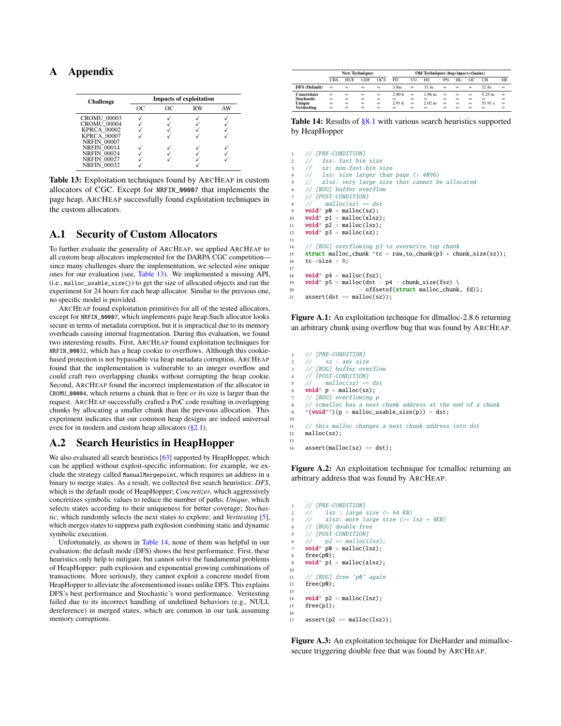# <span id="page-16-5"></span><span id="page-16-0"></span>A Appendix

| <b>Challenge</b>   | <b>Impacts of exploitation</b> |    |    |    |  |  |  |
|--------------------|--------------------------------|----|----|----|--|--|--|
|                    | OC.                            | OС | RW | AW |  |  |  |
| <b>CROMU 00003</b> |                                |    |    |    |  |  |  |
| <b>CROMU 00004</b> |                                |    |    |    |  |  |  |
| <b>KPRCA 00002</b> |                                |    |    |    |  |  |  |
| <b>KPRCA 00007</b> |                                |    |    |    |  |  |  |
| <b>NRFIN 00007</b> |                                |    |    |    |  |  |  |
| <b>NRFIN 00014</b> |                                |    |    |    |  |  |  |
| <b>NRFIN 00024</b> |                                |    |    |    |  |  |  |
| <b>NRFIN 00027</b> |                                |    |    |    |  |  |  |
| <b>NRFIN 00032</b> |                                |    |    |    |  |  |  |

Table 13: Exploitation techniques found by ARCHEAP in custom allocators of CGC. Except for NRFIN\_00007 that implements the page heap, ARCHEAP successfully found exploitation techniques in the custom allocators.

## <span id="page-16-1"></span>A.1 Security of Custom Allocators

To further evaluate the generality of ARCHEAP, we applied ARCHEAP to all custom heap allocators implemented for the DARPA CGC competition since many challenges share the implementation, we selected *nine* unique ones for our evaluation (see, [Table 13\)](#page-16-5). We implemented a missing API, (i.e., malloc\_usable\_size()) to get the size of allocated objects and ran the experiment for 24 hours for each heap allocator. Similar to the previous one, no specific model is provided.

ARCHEAP found exploitation primitives for all of the tested allocators, except for NRFIN\_00007, which implements page heap.Such allocator looks secure in terms of metadata corruption, but it is impractical due to its memory overheads causing internal fragmentation. During this evaluation, we found two interesting results. First, ARCHEAP found exploitation techniques for NRFIN\_00032, which has a heap cookie to overflows. Although this cookiebased protection is not bypassable via heap metadata corruption, ARCHEAP found that the implementation is vulnerable to an integer overflow and could craft two overlapping chunks without corrupting the heap cookie. Second, ARCHEAP found the incorrect implementation of the allocator in CROMU\_00004, which returns a chunk that is free *or* its size is larger than the request. ARCHEAP successfully crafted a PoC code resulting in overlapping chunks by allocating a smaller chunk than the previous allocation. This experiment indicates that our common heap designs are indeed universal even for in modern and custom heap allocators  $(\S2.1)$ .

## <span id="page-16-4"></span>A.2 Search Heuristics in HeapHopper

We also evaluated all search heuristics [\[63\]](#page-15-32) supported by HeapHopper, which can be applied without exploit-specific information; for example, we exclude the strategy called ManualMergepoint, which requires an address in a binary to merge states. As a result, we collected five search heuristics: *DFS*, which is the default mode of HeapHopper; *Concretizer*, which aggressively concretizes symbolic values to reduce the number of paths; *Unique*, which selects states according to their uniqueness for better coverage; *Stochastic*, which randomly selects the next states to explore; and *Veritesting* [\[5\]](#page-14-43), which merges states to suppress path explosion combining static and dynamic symbolic execution.

Unfortunately, as shown in [Table 14,](#page-16-6) none of them was helpful in our evaluation; the default mode (DFS) shows the best performance. First, these heuristics only help to mitigate, but cannot solve the fundamental problems of HeapHopper: path explosion and exponential growing combinations of transactions. More seriously, they cannot exploit a concrete model from HeapHopper to alleviate the aforementioned issues unlike DFS. This explains DFS's best performance and Stochastic's worst performance. Veritesting failed due to its incorrect handling of undefined behaviors (e.g., NULL dereference) in merged states, which are common in our task assuming memory corruptions.

<span id="page-16-6"></span>

|                      | <b>New Techniques</b> |            |            | Old Techniques (Bug+Impact+Chunks) |                   |          |                   |          |          |          |          |          |
|----------------------|-----------------------|------------|------------|------------------------------------|-------------------|----------|-------------------|----------|----------|----------|----------|----------|
|                      | UBS                   | <b>HUE</b> | <b>UDF</b> | OCS                                | F <sub>D</sub>    | UП       | HS                | PN       | HL       | OС       | UB       | HE       |
| <b>DFS</b> (Default) | $\infty$              | $\infty$   | $\infty$   | $\infty$                           | 3.8 <sub>m</sub>  | $\infty$ | 31.4s             | $\infty$ | $\infty$ | $\infty$ | 21.8s    | $\infty$ |
| Concretizer          | $\infty$              | $\infty$   | $\infty$   | $\infty$                           | 2.90 <sub>h</sub> | $\infty$ | 1.96 <sub>m</sub> | $\infty$ | $\infty$ | $\infty$ | 5.25 m   | $\infty$ |
| <b>Stochastic</b>    | $\infty$              | $\infty$   | $\infty$   | $\infty$                           | $\infty$          | $\infty$ | $\infty$          | $\infty$ | $\infty$ | $\infty$ | $\infty$ | $\infty$ |
| Unique               | $\infty$              | $\infty$   | $\infty$   | $\infty$                           | 2.91h             | $\infty$ | 2.02 m            | $\infty$ | $\infty$ | $\infty$ | 51.91 s  | $\infty$ |
| Veritesting          | $\infty$              | $\infty$   | $\infty$   | $\infty$                           | $\infty$          | $\infty$ | $\infty$          | $\infty$ | $\infty$ | $\infty$ | $\infty$ | $\infty$ |

Table 14: Results of [§8.1](#page-10-1) with various search heuristics supported by HeapHopper

```
1 // [PRE-CONDITION]
     // fsz: fast bin size<br>// sz: non-fast-bin s
           sz: non-fast-bin size
 4 // lsz: size larger than page (> 4096)
5 // xlsz: very large size that cannot be allocated
     6 // [BUG] buffer overflow
     7 // [POST-CONDITION]
     // malloc(sz) == dst
9 void* p0 = \text{malloc}(sz);
10 \text{void}^* p1 = malloc(xlsz);
11 void* p2 = \text{malloc}(lsz);
12 void* p3 = \text{malloc}(sz);13
14 // [BUG] overflowing p3 to overwrite top chunk
15 struct malloc_chunk *tc = raw_to_chunk(p3 + chunk_size(sz));<br>
tc->size = 0;
     tc \rightarrow size = 0;
17
18 void* p4 = \text{malloc}(fsz);
19 void* p5 = \text{malloc}(dst - p4 - chunk\_size(fsz) \setminus20 - offsetof(struct malloc_chunk, fd));
```
 $21$  assert(dst == malloc(sz));

Figure A.1: An exploitation technique for dlmalloc-2.8.6 returning an arbitrary chunk using overflow bug that was found by ARCHEAP.

```
// [PRE-CONDITION]
           sz : any size
     3 // [BUG] buffer overflow
     // [POST-COMDITION]<br>// malloc(sz) ==
          malloc(sz) == dst\text{void* } p = \text{malloc}(sz);// [BUG] overflowing p
     // tcmalloc has a next chunk address at the end of a chunk
     *(void**)(p + malloc_usable_size(p)) = dst;10
11 // this malloc changes a next chunk address into dst
12 malloc(sz);
13
```

```
assert(malloc(sz) == dst);
```
Figure A.2: An exploitation technique for tcmalloc returning an arbitrary address that was found by ARCHEAP.

```
// [PRE-CONDITION]
      1/2 lsz : large size (> 64 KB)
             3 // xlsz: more large size (>= lsz + 4KB)
      // [BUG] double free
      5 // [POST-CONDITION]
            p2 == \text{malloc}(1sz);
     \overrightarrow{\text{void}}^* \overrightarrow{\text{p0}} = \text{malloc}(lsz);free(p0);\text{void}^* p1 = malloc(xlsz):
10
11 // [BUG] free 'p0' again
12 free(p0);
13
14 void* p2 = \text{malloc}(lsz);
15 free(p1);
16
```
17  $assert(p2 == malloc(lsz));$ 

Figure A.3: An exploitation technique for DieHarder and mimallocsecure triggering double free that was found by ARCHEAP.